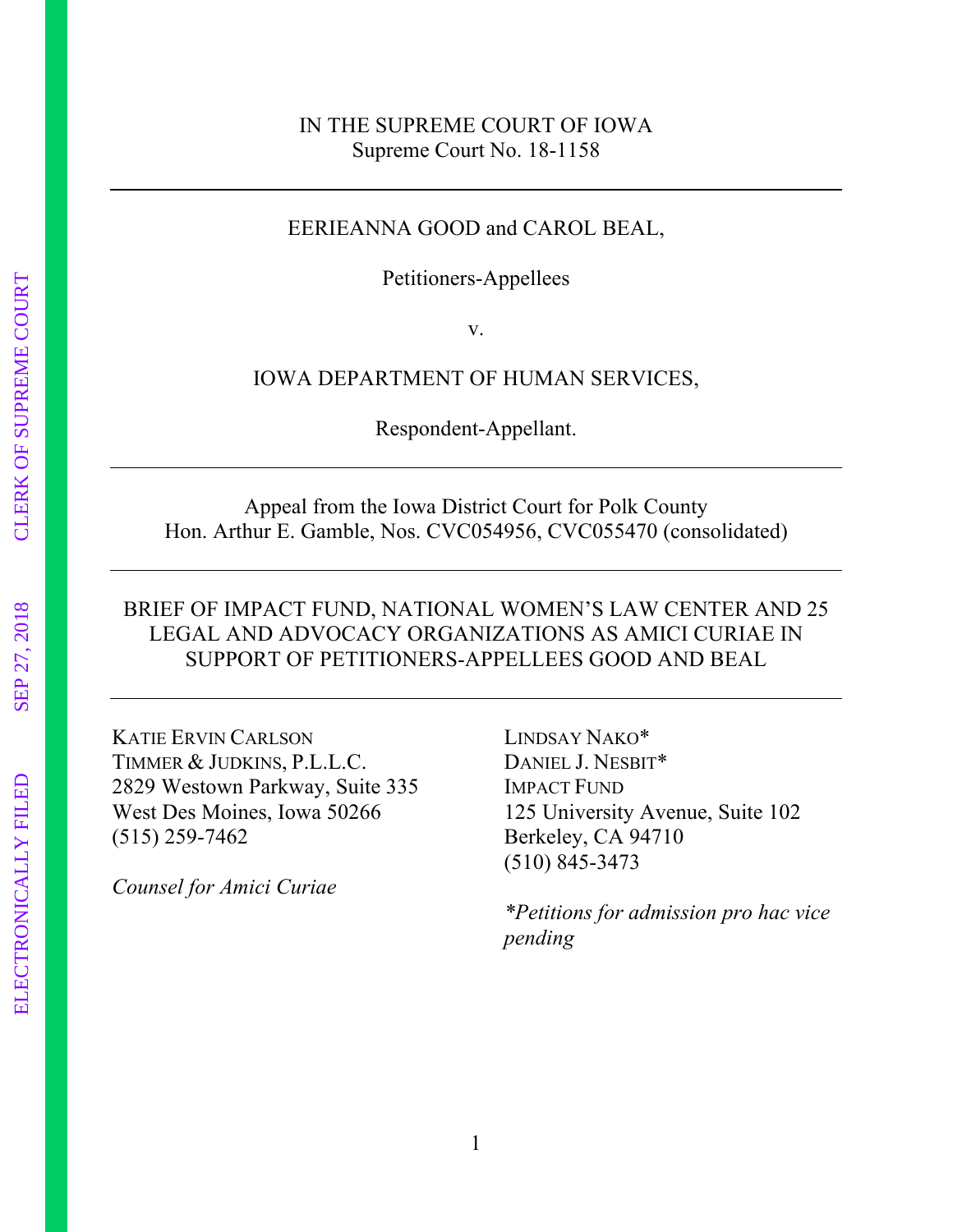#### IN THE SUPREME COURT OF IOWA Supreme Court No. 18-1158

#### EERIEANNA GOOD and CAROL BEAL,

Petitioners-Appellees

v.

#### IOWA DEPARTMENT OF HUMAN SERVICES,

Respondent-Appellant.

Appeal from the Iowa District Court for Polk County Hon. Arthur E. Gamble, Nos. CVC054956, CVC055470 (consolidated)

#### BRIEF OF IMPACT FUND, NATIONAL WOMEN'S LAW CENTER AND 25 LEGAL AND ADVOCACY ORGANIZATIONS AS AMICI CURIAE IN SUPPORT OF PETITIONERS-APPELLEES GOOD AND BEAL

KATIE ERVIN CARLSON TIMMER & JUDKINS, P.L.L.C. 2829 Westown Parkway, Suite 335 West Des Moines, Iowa 50266 (515) 259-7462

*Counsel for Amici Curiae*

LINDSAY NAKO\* DANIEL J. NESBIT\* IMPACT FUND 125 University Avenue, Suite 102 Berkeley, CA 94710 (510) 845-3473

*\*Petitions for admission pro hac vice pending*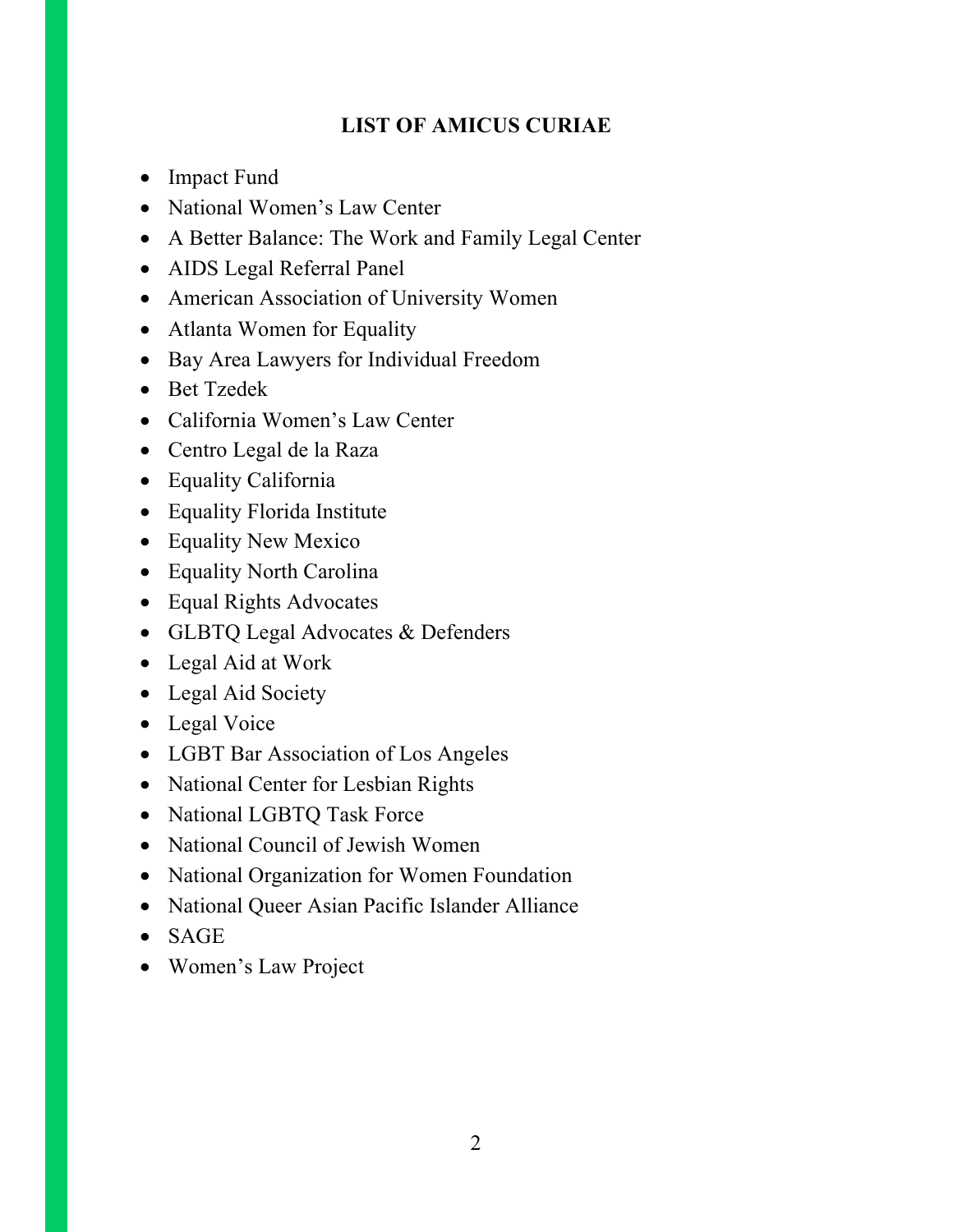# **LIST OF AMICUS CURIAE**

- Impact Fund
- National Women's Law Center
- A Better Balance: The Work and Family Legal Center
- AIDS Legal Referral Panel
- American Association of University Women
- Atlanta Women for Equality
- Bay Area Lawyers for Individual Freedom
- Bet Tzedek
- California Women's Law Center
- Centro Legal de la Raza
- Equality California
- Equality Florida Institute
- Equality New Mexico
- Equality North Carolina
- Equal Rights Advocates
- GLBTQ Legal Advocates & Defenders
- Legal Aid at Work
- Legal Aid Society
- Legal Voice
- LGBT Bar Association of Los Angeles
- National Center for Lesbian Rights
- National LGBTQ Task Force
- National Council of Jewish Women
- National Organization for Women Foundation
- National Queer Asian Pacific Islander Alliance
- SAGE
- Women's Law Project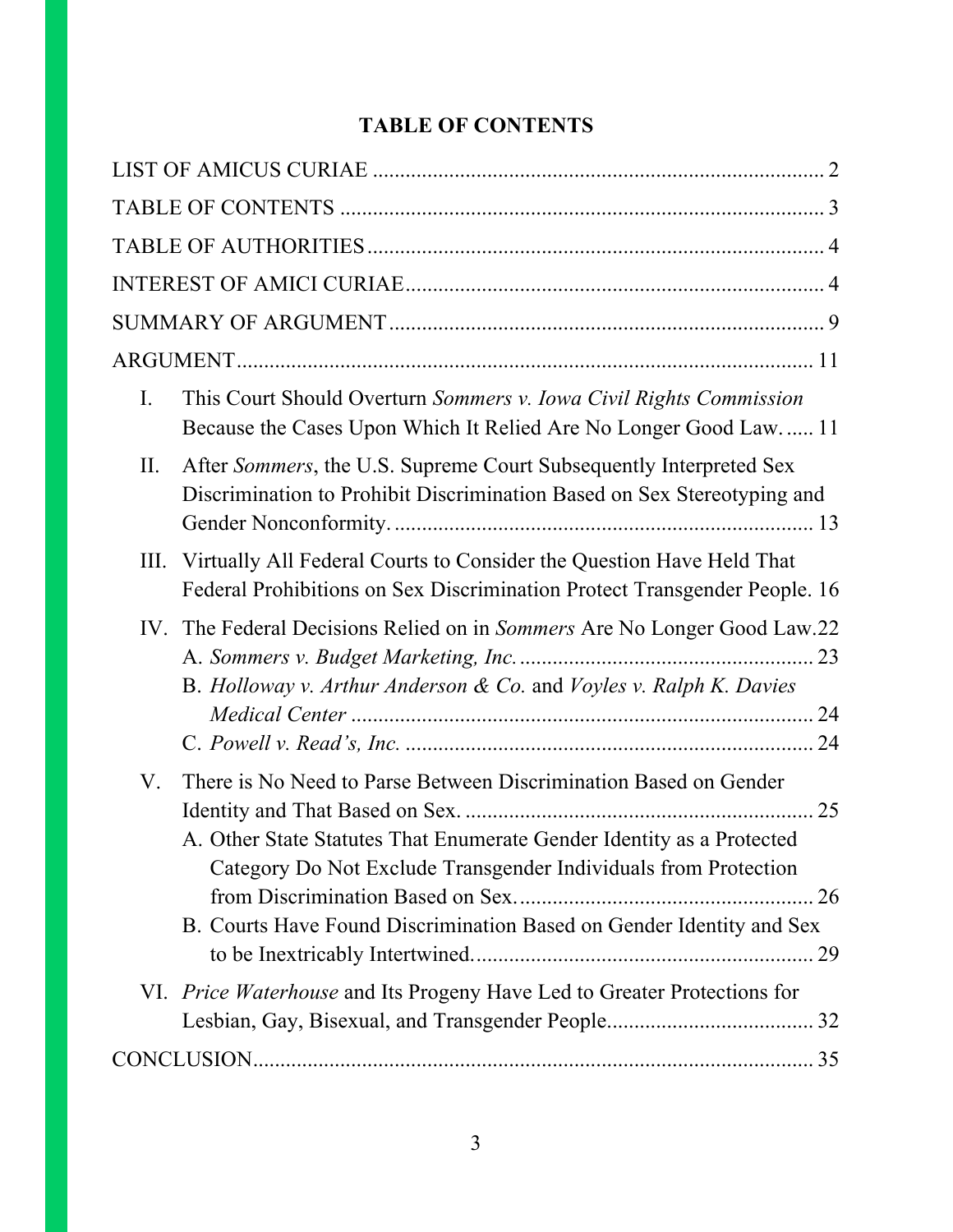# **TABLE OF CONTENTS**

| Ι.  | This Court Should Overturn Sommers v. Iowa Civil Rights Commission<br>Because the Cases Upon Which It Relied Are No Longer Good Law 11                                                                                                                                               |
|-----|--------------------------------------------------------------------------------------------------------------------------------------------------------------------------------------------------------------------------------------------------------------------------------------|
| II. | After Sommers, the U.S. Supreme Court Subsequently Interpreted Sex<br>Discrimination to Prohibit Discrimination Based on Sex Stereotyping and                                                                                                                                        |
| Ш.  | Virtually All Federal Courts to Consider the Question Have Held That<br>Federal Prohibitions on Sex Discrimination Protect Transgender People. 16                                                                                                                                    |
| IV. | The Federal Decisions Relied on in Sommers Are No Longer Good Law.22<br>B. Holloway v. Arthur Anderson & Co. and Voyles v. Ralph K. Davies                                                                                                                                           |
| V.  | There is No Need to Parse Between Discrimination Based on Gender<br>A. Other State Statutes That Enumerate Gender Identity as a Protected<br>Category Do Not Exclude Transgender Individuals from Protection<br>B. Courts Have Found Discrimination Based on Gender Identity and Sex |
|     | VI. Price Waterhouse and Its Progeny Have Led to Greater Protections for                                                                                                                                                                                                             |
|     |                                                                                                                                                                                                                                                                                      |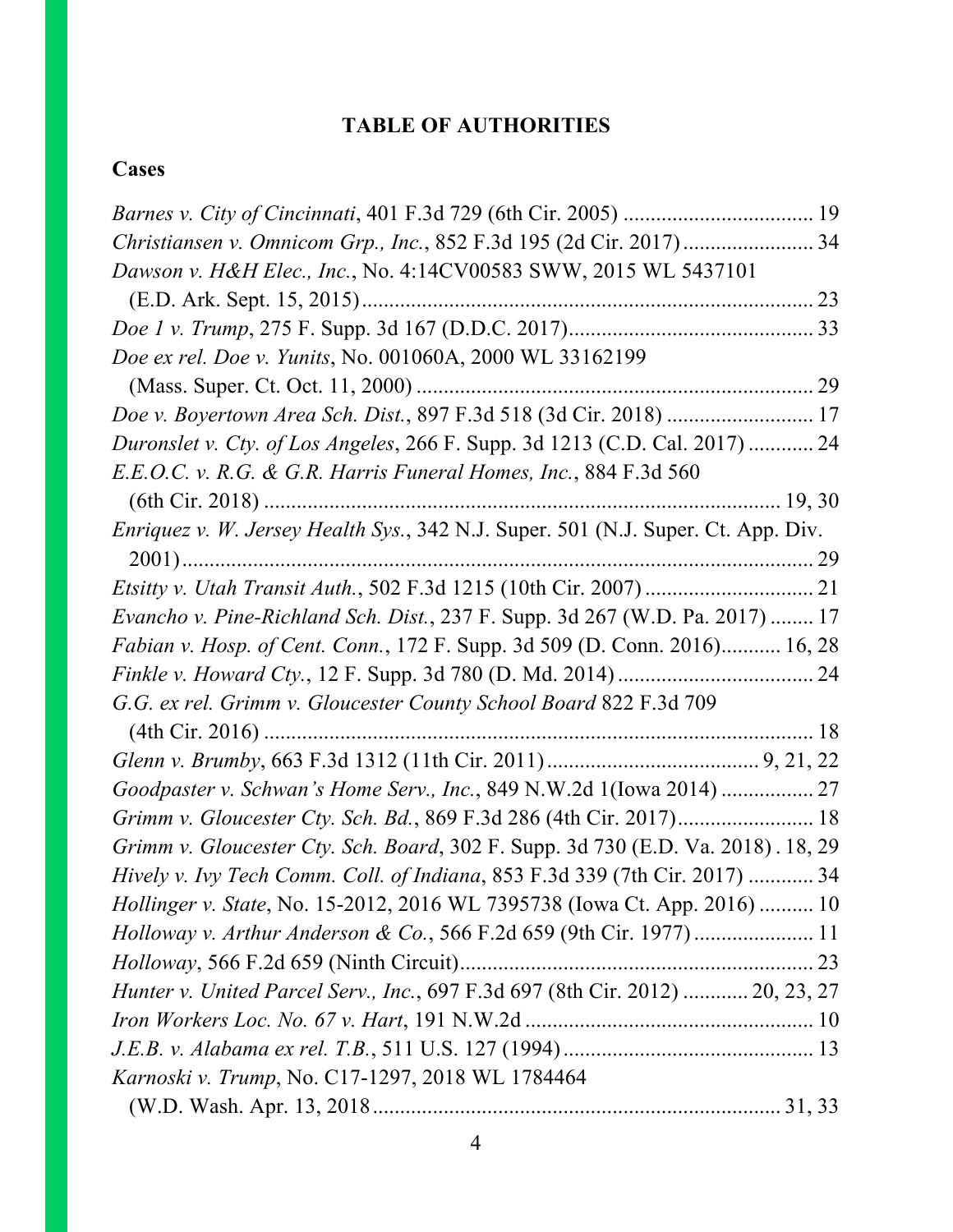# **TABLE OF AUTHORITIES**

# **Cases**

| Christiansen v. Omnicom Grp., Inc., 852 F.3d 195 (2d Cir. 2017) 34                        |  |
|-------------------------------------------------------------------------------------------|--|
| Dawson v. H&H Elec., Inc., No. 4:14CV00583 SWW, 2015 WL 5437101                           |  |
|                                                                                           |  |
|                                                                                           |  |
| Doe ex rel. Doe v. Yunits, No. 001060A, 2000 WL 33162199                                  |  |
|                                                                                           |  |
| Doe v. Boyertown Area Sch. Dist., 897 F.3d 518 (3d Cir. 2018)  17                         |  |
| Duronslet v. Cty. of Los Angeles, 266 F. Supp. 3d 1213 (C.D. Cal. 2017)  24               |  |
| E.E.O.C. v. R.G. & G.R. Harris Funeral Homes, Inc., 884 F.3d 560                          |  |
|                                                                                           |  |
| <i>Enriquez v. W. Jersey Health Sys.</i> , 342 N.J. Super. 501 (N.J. Super. Ct. App. Div. |  |
|                                                                                           |  |
|                                                                                           |  |
| Evancho v. Pine-Richland Sch. Dist., 237 F. Supp. 3d 267 (W.D. Pa. 2017)  17              |  |
| Fabian v. Hosp. of Cent. Conn., 172 F. Supp. 3d 509 (D. Conn. 2016) 16, 28                |  |
|                                                                                           |  |
| G.G. ex rel. Grimm v. Gloucester County School Board 822 F.3d 709                         |  |
|                                                                                           |  |
|                                                                                           |  |
| Goodpaster v. Schwan's Home Serv., Inc., 849 N.W.2d 1(Iowa 2014)  27                      |  |
| Grimm v. Gloucester Cty. Sch. Bd., 869 F.3d 286 (4th Cir. 2017) 18                        |  |
| Grimm v. Gloucester Cty. Sch. Board, 302 F. Supp. 3d 730 (E.D. Va. 2018). 18, 29          |  |
| Hively v. Ivy Tech Comm. Coll. of Indiana, 853 F.3d 339 (7th Cir. 2017)  34               |  |
| Hollinger v. State, No. 15-2012, 2016 WL 7395738 (Iowa Ct. App. 2016)  10                 |  |
|                                                                                           |  |
|                                                                                           |  |
| Hunter v. United Parcel Serv., Inc., 697 F.3d 697 (8th Cir. 2012)  20, 23, 27             |  |
|                                                                                           |  |
|                                                                                           |  |
| Karnoski v. Trump, No. C17-1297, 2018 WL 1784464                                          |  |
|                                                                                           |  |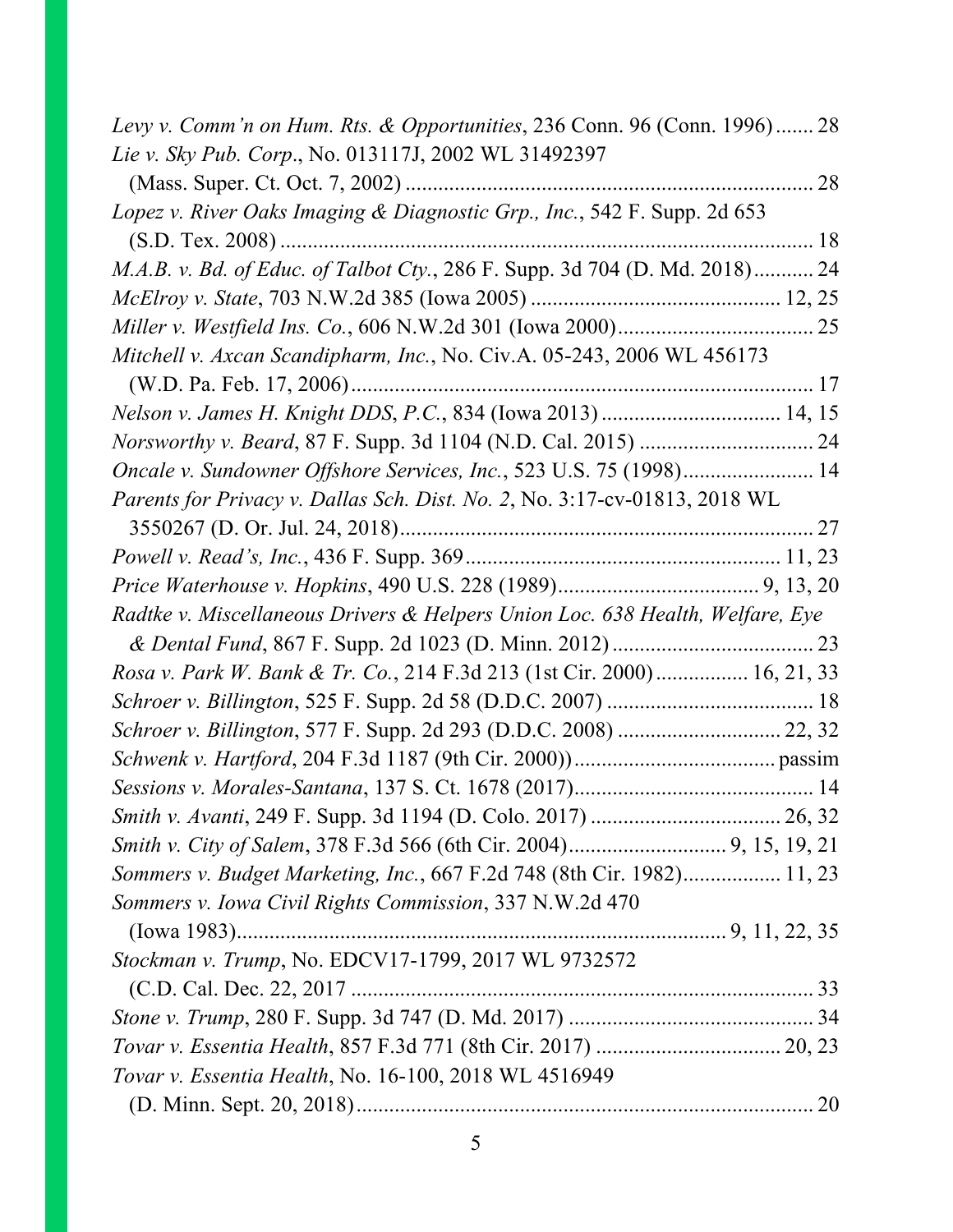| Levy v. Comm'n on Hum. Rts. & Opportunities, 236 Conn. 96 (Conn. 1996) 28     |  |
|-------------------------------------------------------------------------------|--|
| Lie v. Sky Pub. Corp., No. 013117J, 2002 WL 31492397                          |  |
|                                                                               |  |
| Lopez v. River Oaks Imaging & Diagnostic Grp., Inc., 542 F. Supp. 2d 653      |  |
|                                                                               |  |
| M.A.B. v. Bd. of Educ. of Talbot Cty., 286 F. Supp. 3d 704 (D. Md. 2018) 24   |  |
|                                                                               |  |
|                                                                               |  |
| Mitchell v. Axcan Scandipharm, Inc., No. Civ.A. 05-243, 2006 WL 456173        |  |
|                                                                               |  |
| Nelson v. James H. Knight DDS, P.C., 834 (Iowa 2013)  14, 15                  |  |
|                                                                               |  |
| Oncale v. Sundowner Offshore Services, Inc., 523 U.S. 75 (1998) 14            |  |
| Parents for Privacy v. Dallas Sch. Dist. No. 2, No. 3:17-cv-01813, 2018 WL    |  |
|                                                                               |  |
|                                                                               |  |
|                                                                               |  |
| Radtke v. Miscellaneous Drivers & Helpers Union Loc. 638 Health, Welfare, Eye |  |
|                                                                               |  |
| Rosa v. Park W. Bank & Tr. Co., 214 F.3d 213 (1st Cir. 2000) 16, 21, 33       |  |
|                                                                               |  |
|                                                                               |  |
|                                                                               |  |
|                                                                               |  |
|                                                                               |  |
|                                                                               |  |
| Sommers v. Budget Marketing, Inc., 667 F.2d 748 (8th Cir. 1982) 11, 23        |  |
| Sommers v. Iowa Civil Rights Commission, 337 N.W.2d 470                       |  |
|                                                                               |  |
| Stockman v. Trump, No. EDCV17-1799, 2017 WL 9732572                           |  |
|                                                                               |  |
|                                                                               |  |
|                                                                               |  |
| Tovar v. Essentia Health, No. 16-100, 2018 WL 4516949                         |  |
|                                                                               |  |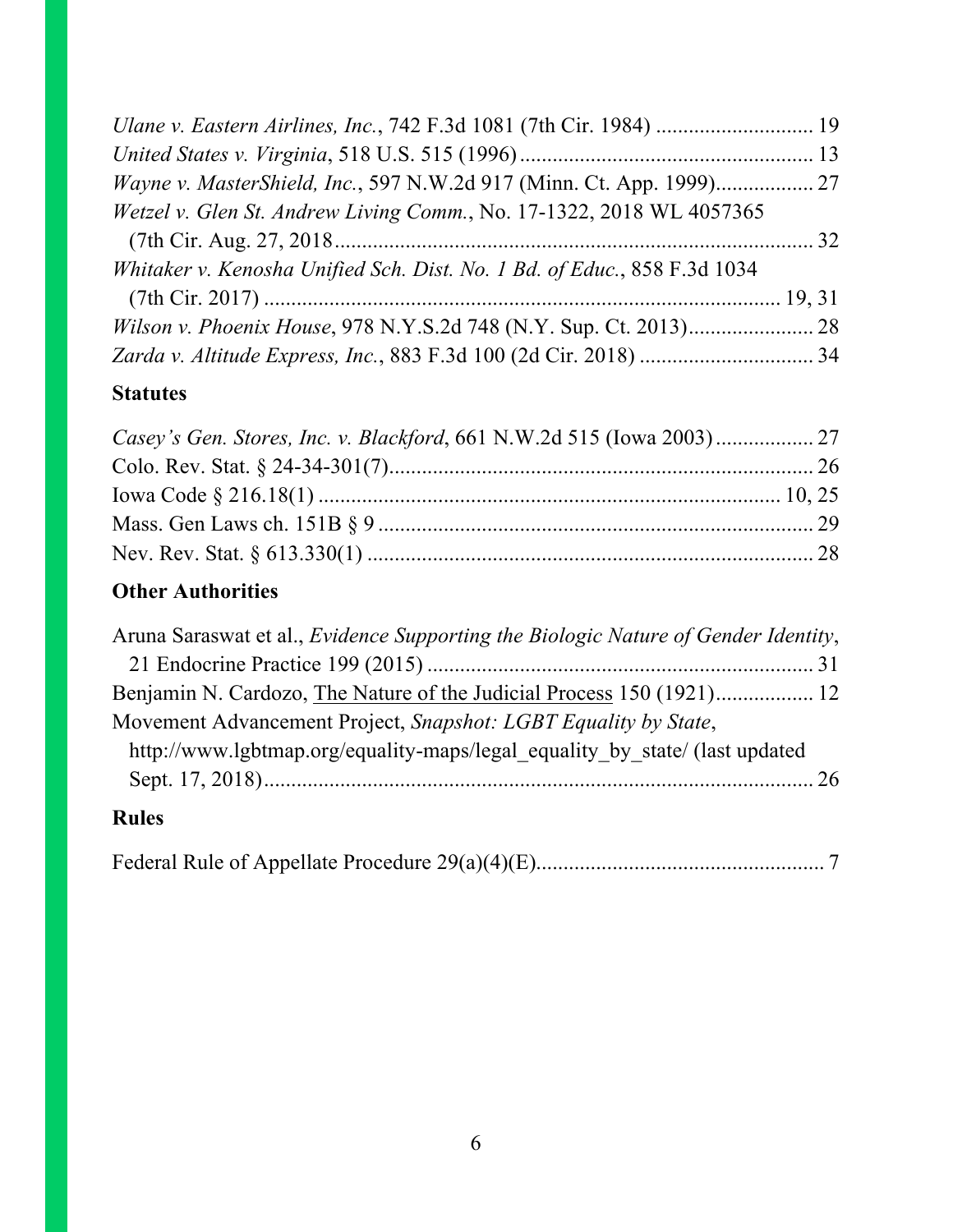| Wayne v. MasterShield, Inc., 597 N.W.2d 917 (Minn. Ct. App. 1999) 27     |  |
|--------------------------------------------------------------------------|--|
| Wetzel v. Glen St. Andrew Living Comm., No. 17-1322, 2018 WL 4057365     |  |
|                                                                          |  |
| Whitaker v. Kenosha Unified Sch. Dist. No. 1 Bd. of Educ., 858 F.3d 1034 |  |
|                                                                          |  |
|                                                                          |  |
|                                                                          |  |

### **Statutes**

# **Other Authorities**

| Aruna Saraswat et al., <i>Evidence Supporting the Biologic Nature of Gender Identity</i> , |  |
|--------------------------------------------------------------------------------------------|--|
|                                                                                            |  |
| Benjamin N. Cardozo, The Nature of the Judicial Process 150 (1921) 12                      |  |
| Movement Advancement Project, Snapshot: LGBT Equality by State,                            |  |
| http://www.lgbtmap.org/equality-maps/legal equality by state/ (last updated                |  |
|                                                                                            |  |
|                                                                                            |  |

### **Rules**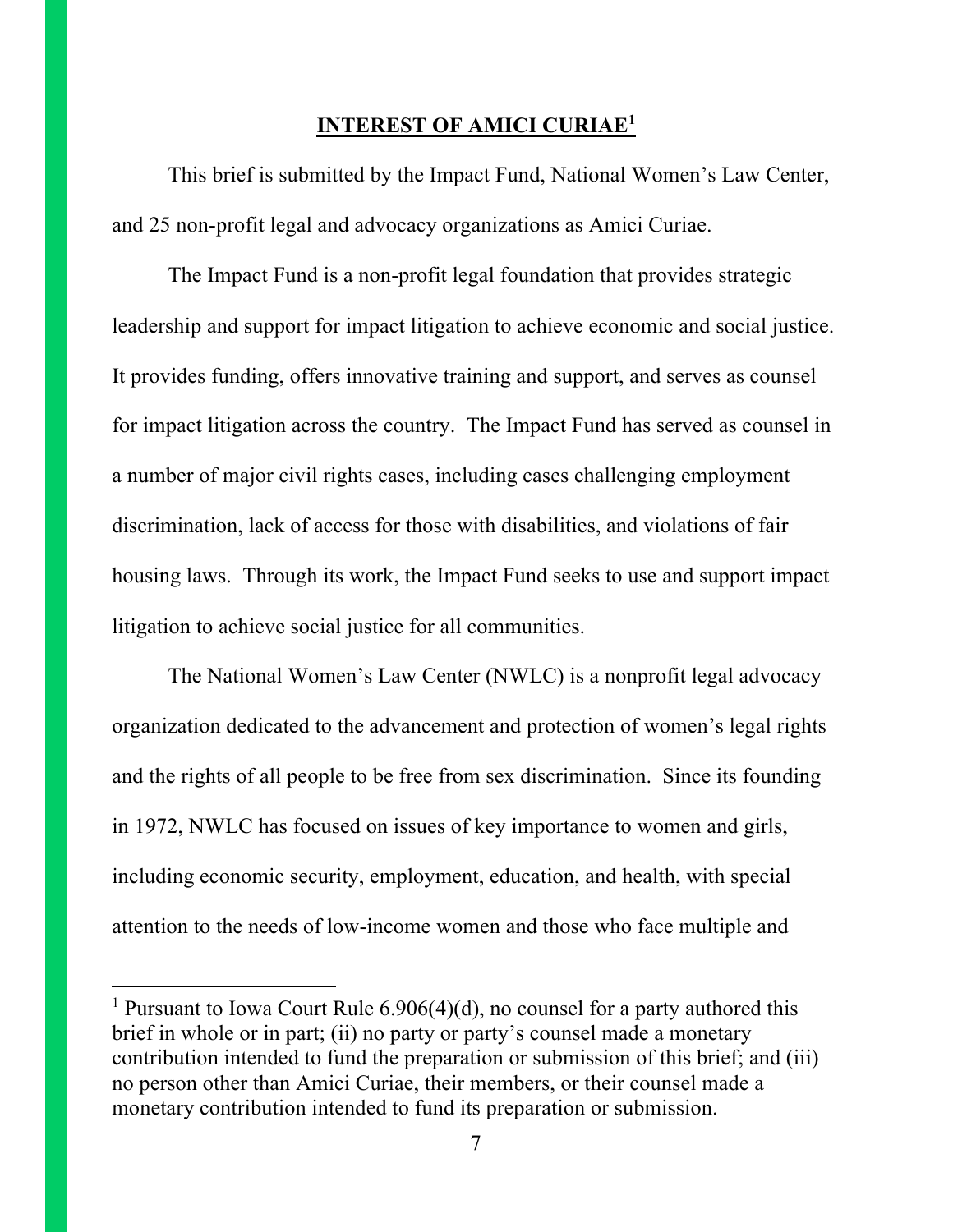#### **INTEREST OF AMICI CURIAE1**

This brief is submitted by the Impact Fund, National Women's Law Center, and 25 non-profit legal and advocacy organizations as Amici Curiae.

The Impact Fund is a non-profit legal foundation that provides strategic leadership and support for impact litigation to achieve economic and social justice. It provides funding, offers innovative training and support, and serves as counsel for impact litigation across the country. The Impact Fund has served as counsel in a number of major civil rights cases, including cases challenging employment discrimination, lack of access for those with disabilities, and violations of fair housing laws. Through its work, the Impact Fund seeks to use and support impact litigation to achieve social justice for all communities.

The National Women's Law Center (NWLC) is a nonprofit legal advocacy organization dedicated to the advancement and protection of women's legal rights and the rights of all people to be free from sex discrimination. Since its founding in 1972, NWLC has focused on issues of key importance to women and girls, including economic security, employment, education, and health, with special attention to the needs of low-income women and those who face multiple and

 $\overline{\phantom{a}}$ 

<sup>&</sup>lt;sup>1</sup> Pursuant to Iowa Court Rule  $6.906(4)(d)$ , no counsel for a party authored this brief in whole or in part; (ii) no party or party's counsel made a monetary contribution intended to fund the preparation or submission of this brief; and (iii) no person other than Amici Curiae, their members, or their counsel made a monetary contribution intended to fund its preparation or submission.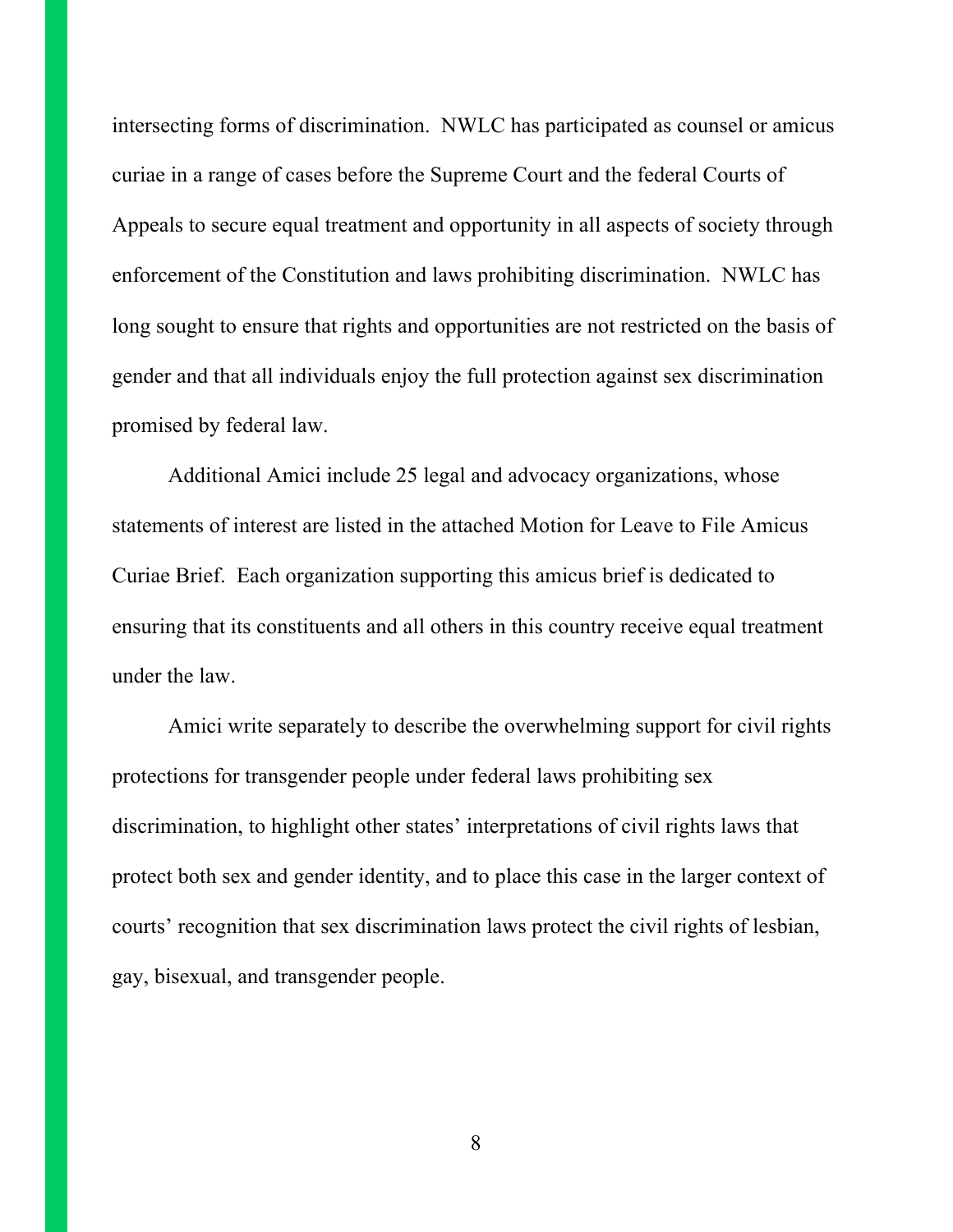intersecting forms of discrimination. NWLC has participated as counsel or amicus curiae in a range of cases before the Supreme Court and the federal Courts of Appeals to secure equal treatment and opportunity in all aspects of society through enforcement of the Constitution and laws prohibiting discrimination. NWLC has long sought to ensure that rights and opportunities are not restricted on the basis of gender and that all individuals enjoy the full protection against sex discrimination promised by federal law.

Additional Amici include 25 legal and advocacy organizations, whose statements of interest are listed in the attached Motion for Leave to File Amicus Curiae Brief. Each organization supporting this amicus brief is dedicated to ensuring that its constituents and all others in this country receive equal treatment under the law.

Amici write separately to describe the overwhelming support for civil rights protections for transgender people under federal laws prohibiting sex discrimination, to highlight other states' interpretations of civil rights laws that protect both sex and gender identity, and to place this case in the larger context of courts' recognition that sex discrimination laws protect the civil rights of lesbian, gay, bisexual, and transgender people.

8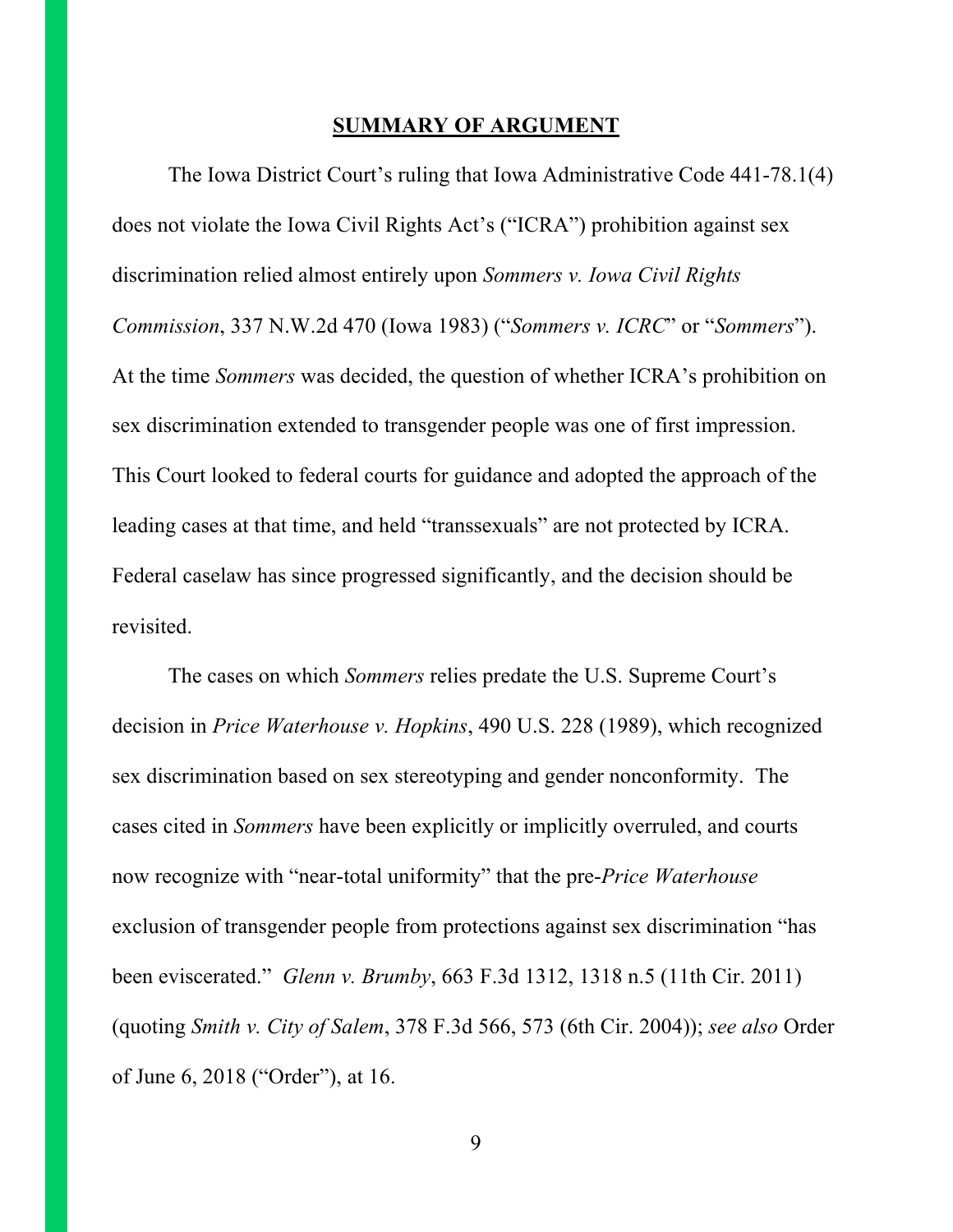#### **SUMMARY OF ARGUMENT**

The Iowa District Court's ruling that Iowa Administrative Code 441-78.1(4) does not violate the Iowa Civil Rights Act's ("ICRA") prohibition against sex discrimination relied almost entirely upon *Sommers v. Iowa Civil Rights Commission*, 337 N.W.2d 470 (Iowa 1983) ("*Sommers v. ICRC*" or "*Sommers*"). At the time *Sommers* was decided, the question of whether ICRA's prohibition on sex discrimination extended to transgender people was one of first impression. This Court looked to federal courts for guidance and adopted the approach of the leading cases at that time, and held "transsexuals" are not protected by ICRA. Federal caselaw has since progressed significantly, and the decision should be revisited.

The cases on which *Sommers* relies predate the U.S. Supreme Court's decision in *Price Waterhouse v. Hopkins*, 490 U.S. 228 (1989), which recognized sex discrimination based on sex stereotyping and gender nonconformity. The cases cited in *Sommers* have been explicitly or implicitly overruled, and courts now recognize with "near-total uniformity" that the pre-*Price Waterhouse* exclusion of transgender people from protections against sex discrimination "has been eviscerated." *Glenn v. Brumby*, 663 F.3d 1312, 1318 n.5 (11th Cir. 2011) (quoting *Smith v. City of Salem*, 378 F.3d 566, 573 (6th Cir. 2004)); *see also* Order of June 6, 2018 ("Order"), at 16.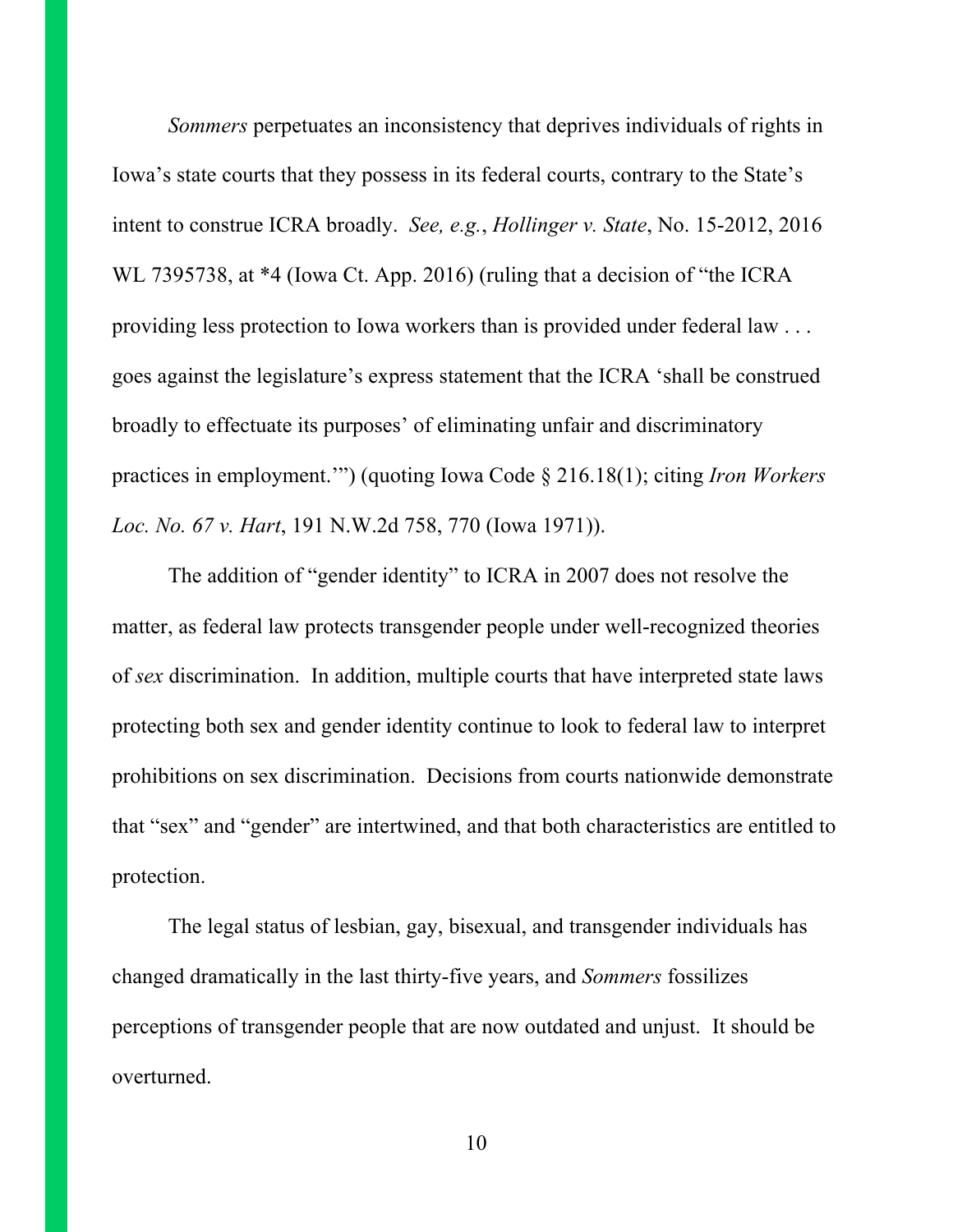*Sommers* perpetuates an inconsistency that deprives individuals of rights in Iowa's state courts that they possess in its federal courts, contrary to the State's intent to construe ICRA broadly. *See, e.g.*, *Hollinger v. State*, No. 15-2012, 2016 WL 7395738, at \*4 (Iowa Ct. App. 2016) (ruling that a decision of "the ICRA providing less protection to Iowa workers than is provided under federal law . . . goes against the legislature's express statement that the ICRA 'shall be construed broadly to effectuate its purposes' of eliminating unfair and discriminatory practices in employment.'") (quoting Iowa Code § 216.18(1); citing *Iron Workers Loc. No. 67 v. Hart*, 191 N.W.2d 758, 770 (Iowa 1971)).

The addition of "gender identity" to ICRA in 2007 does not resolve the matter, as federal law protects transgender people under well-recognized theories of *sex* discrimination. In addition, multiple courts that have interpreted state laws protecting both sex and gender identity continue to look to federal law to interpret prohibitions on sex discrimination. Decisions from courts nationwide demonstrate that "sex" and "gender" are intertwined, and that both characteristics are entitled to protection.

The legal status of lesbian, gay, bisexual, and transgender individuals has changed dramatically in the last thirty-five years, and *Sommers* fossilizes perceptions of transgender people that are now outdated and unjust. It should be overturned.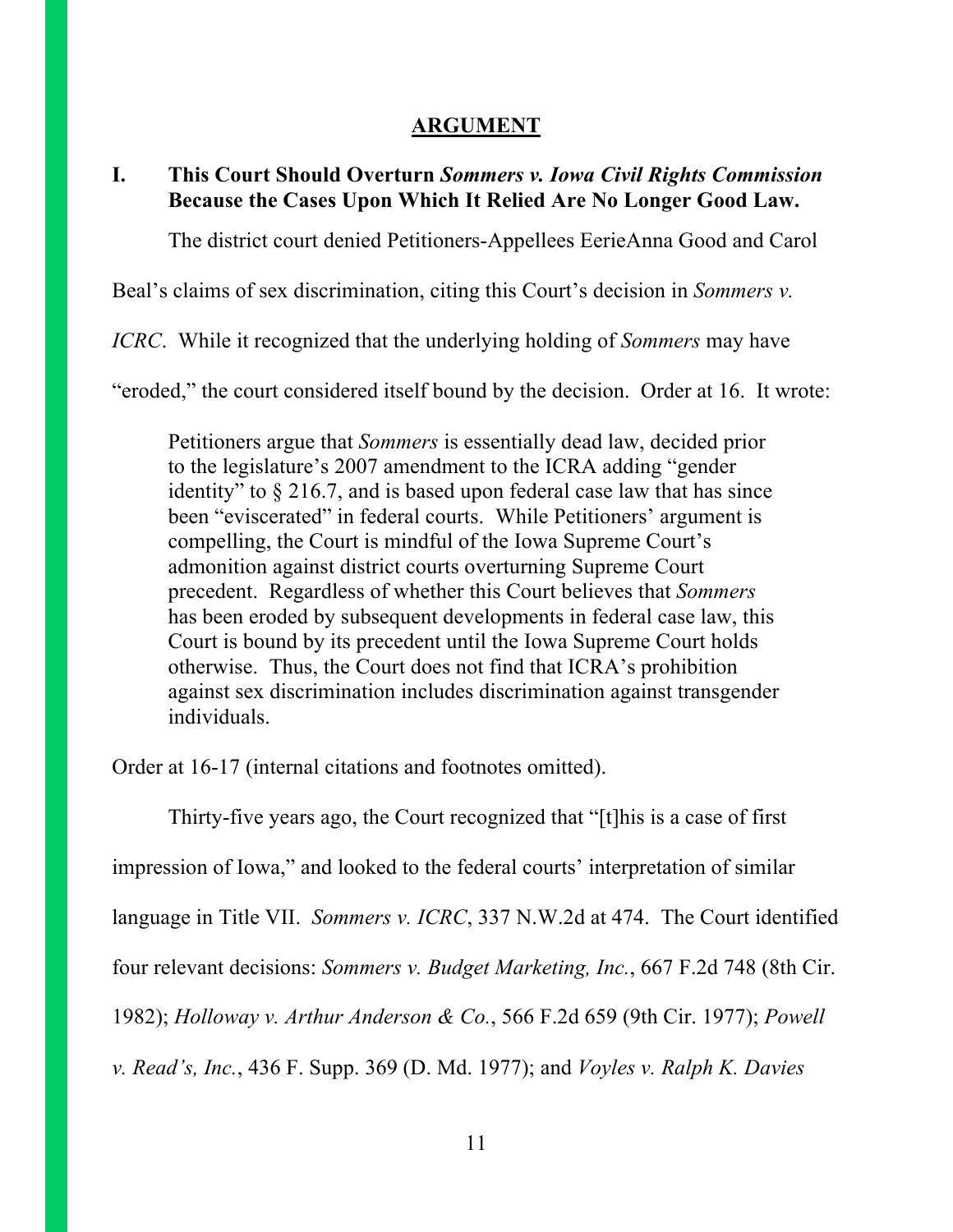#### **ARGUMENT**

#### **I. This Court Should Overturn** *Sommers v. Iowa Civil Rights Commission* **Because the Cases Upon Which It Relied Are No Longer Good Law.**

The district court denied Petitioners-Appellees EerieAnna Good and Carol

Beal's claims of sex discrimination, citing this Court's decision in *Sommers v.* 

*ICRC*. While it recognized that the underlying holding of *Sommers* may have

"eroded," the court considered itself bound by the decision. Order at 16. It wrote:

Petitioners argue that *Sommers* is essentially dead law, decided prior to the legislature's 2007 amendment to the ICRA adding "gender identity" to  $\S 216.7$ , and is based upon federal case law that has since been "eviscerated" in federal courts. While Petitioners' argument is compelling, the Court is mindful of the Iowa Supreme Court's admonition against district courts overturning Supreme Court precedent. Regardless of whether this Court believes that *Sommers*  has been eroded by subsequent developments in federal case law, this Court is bound by its precedent until the Iowa Supreme Court holds otherwise. Thus, the Court does not find that ICRA's prohibition against sex discrimination includes discrimination against transgender individuals.

Order at 16-17 (internal citations and footnotes omitted).

Thirty-five years ago, the Court recognized that "[t]his is a case of first impression of Iowa," and looked to the federal courts' interpretation of similar language in Title VII. *Sommers v. ICRC*, 337 N.W.2d at 474. The Court identified four relevant decisions: *Sommers v. Budget Marketing, Inc.*, 667 F.2d 748 (8th Cir. 1982); *Holloway v. Arthur Anderson & Co.*, 566 F.2d 659 (9th Cir. 1977); *Powell v. Read's, Inc.*, 436 F. Supp. 369 (D. Md. 1977); and *Voyles v. Ralph K. Davies*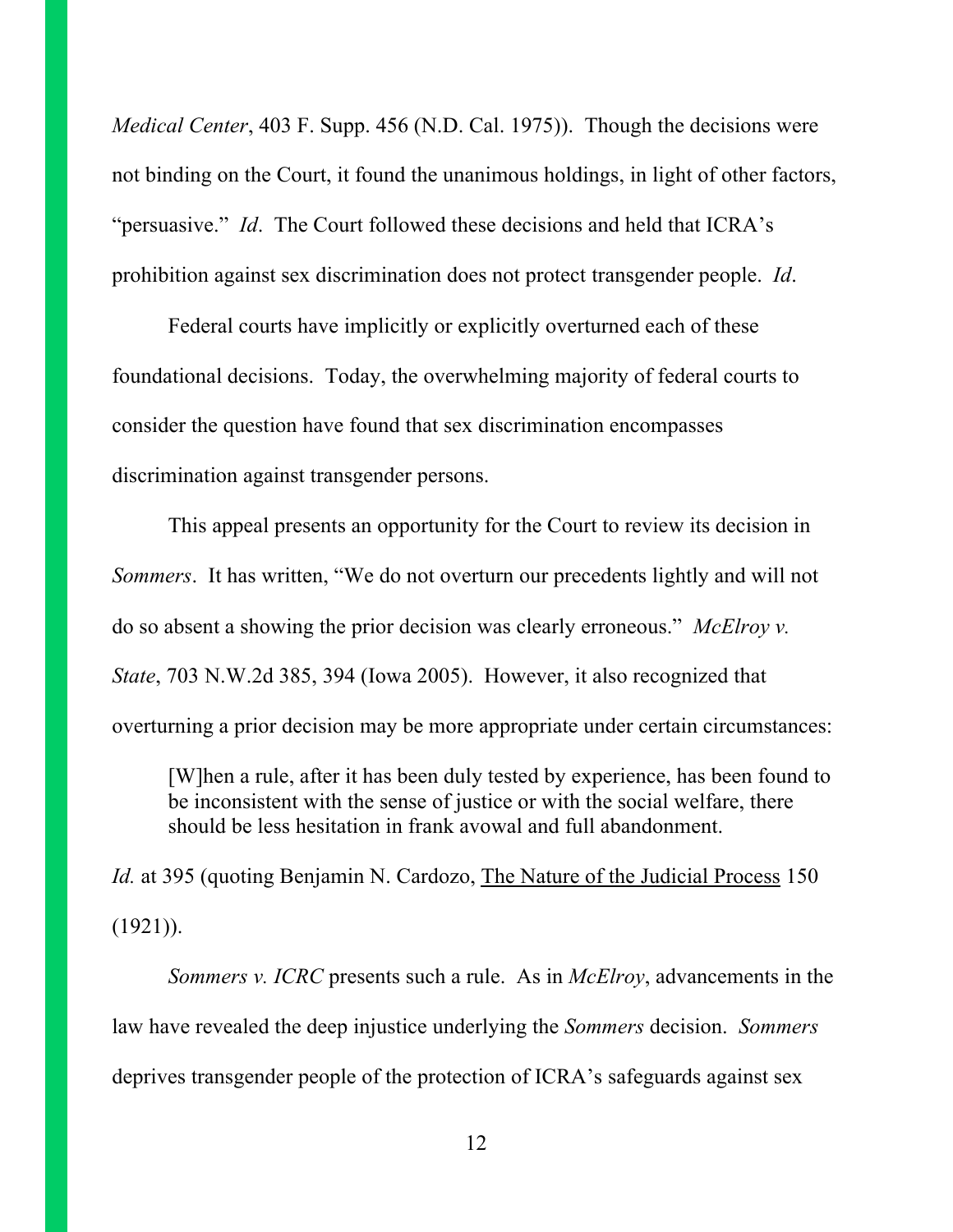*Medical Center*, 403 F. Supp. 456 (N.D. Cal. 1975)). Though the decisions were not binding on the Court, it found the unanimous holdings, in light of other factors, "persuasive." *Id*. The Court followed these decisions and held that ICRA's prohibition against sex discrimination does not protect transgender people. *Id*.

Federal courts have implicitly or explicitly overturned each of these foundational decisions. Today, the overwhelming majority of federal courts to consider the question have found that sex discrimination encompasses discrimination against transgender persons.

This appeal presents an opportunity for the Court to review its decision in *Sommers*. It has written, "We do not overturn our precedents lightly and will not do so absent a showing the prior decision was clearly erroneous." *McElroy v. State*, 703 N.W.2d 385, 394 (Iowa 2005). However, it also recognized that overturning a prior decision may be more appropriate under certain circumstances:

[W]hen a rule, after it has been duly tested by experience, has been found to be inconsistent with the sense of justice or with the social welfare, there should be less hesitation in frank avowal and full abandonment.

*Id.* at 395 (quoting Benjamin N. Cardozo, The Nature of the Judicial Process 150  $(1921)$ ).

*Sommers v. ICRC* presents such a rule. As in *McElroy*, advancements in the law have revealed the deep injustice underlying the *Sommers* decision. *Sommers* deprives transgender people of the protection of ICRA's safeguards against sex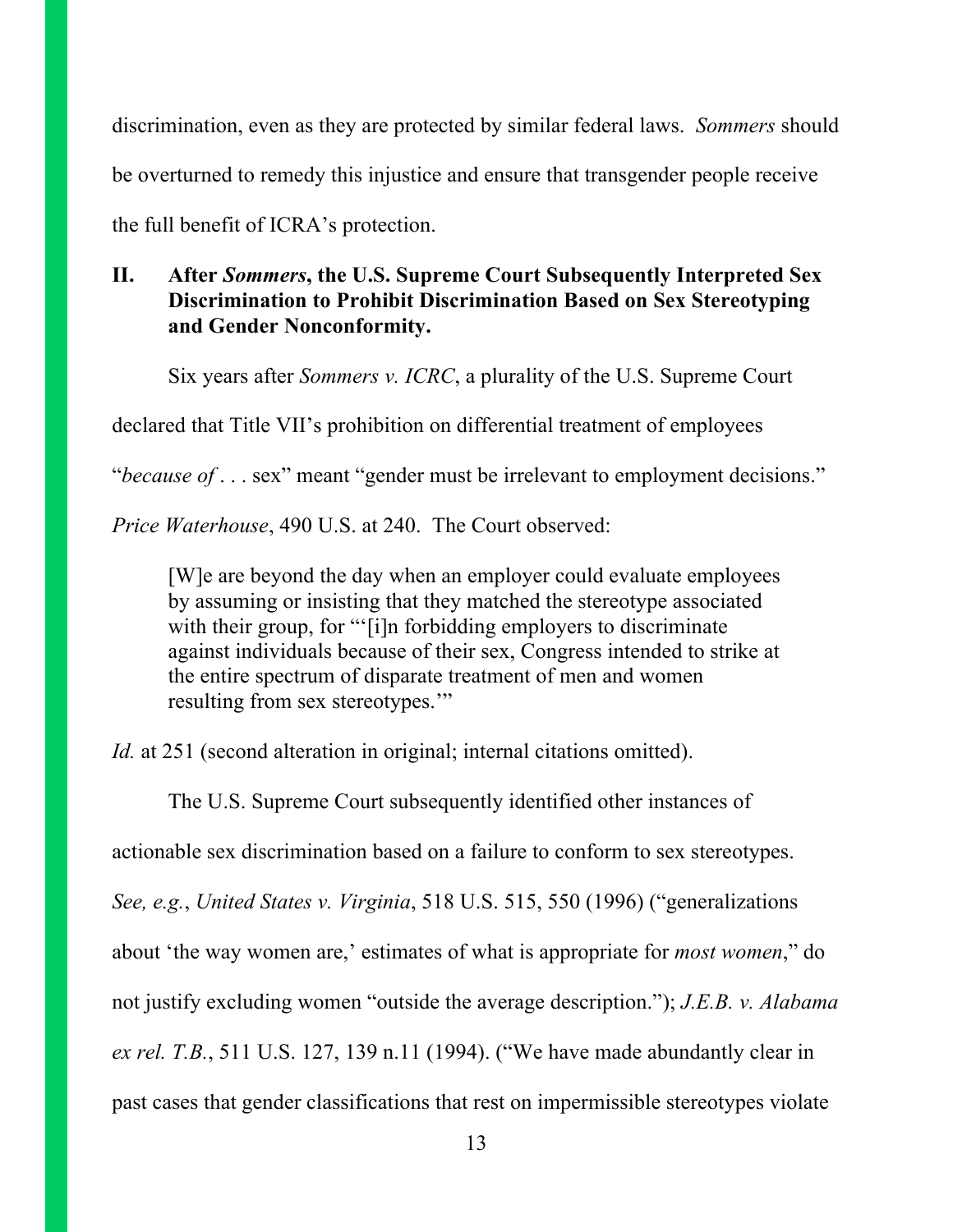discrimination, even as they are protected by similar federal laws. *Sommers* should be overturned to remedy this injustice and ensure that transgender people receive the full benefit of ICRA's protection.

### **II. After** *Sommers***, the U.S. Supreme Court Subsequently Interpreted Sex Discrimination to Prohibit Discrimination Based on Sex Stereotyping and Gender Nonconformity.**

Six years after *Sommers v. ICRC*, a plurality of the U.S. Supreme Court

declared that Title VII's prohibition on differential treatment of employees

"*because of* . . . sex" meant "gender must be irrelevant to employment decisions."

*Price Waterhouse*, 490 U.S. at 240. The Court observed:

[W]e are beyond the day when an employer could evaluate employees by assuming or insisting that they matched the stereotype associated with their group, for "'[i]n forbidding employers to discriminate against individuals because of their sex, Congress intended to strike at the entire spectrum of disparate treatment of men and women resulting from sex stereotypes.'"

*Id.* at 251 (second alteration in original; internal citations omitted).

The U.S. Supreme Court subsequently identified other instances of

actionable sex discrimination based on a failure to conform to sex stereotypes.

*See, e.g.*, *United States v. Virginia*, 518 U.S. 515, 550 (1996) ("generalizations

about 'the way women are,' estimates of what is appropriate for *most women*," do

not justify excluding women "outside the average description."); *J.E.B. v. Alabama* 

*ex rel. T.B.*, 511 U.S. 127, 139 n.11 (1994). ("We have made abundantly clear in

past cases that gender classifications that rest on impermissible stereotypes violate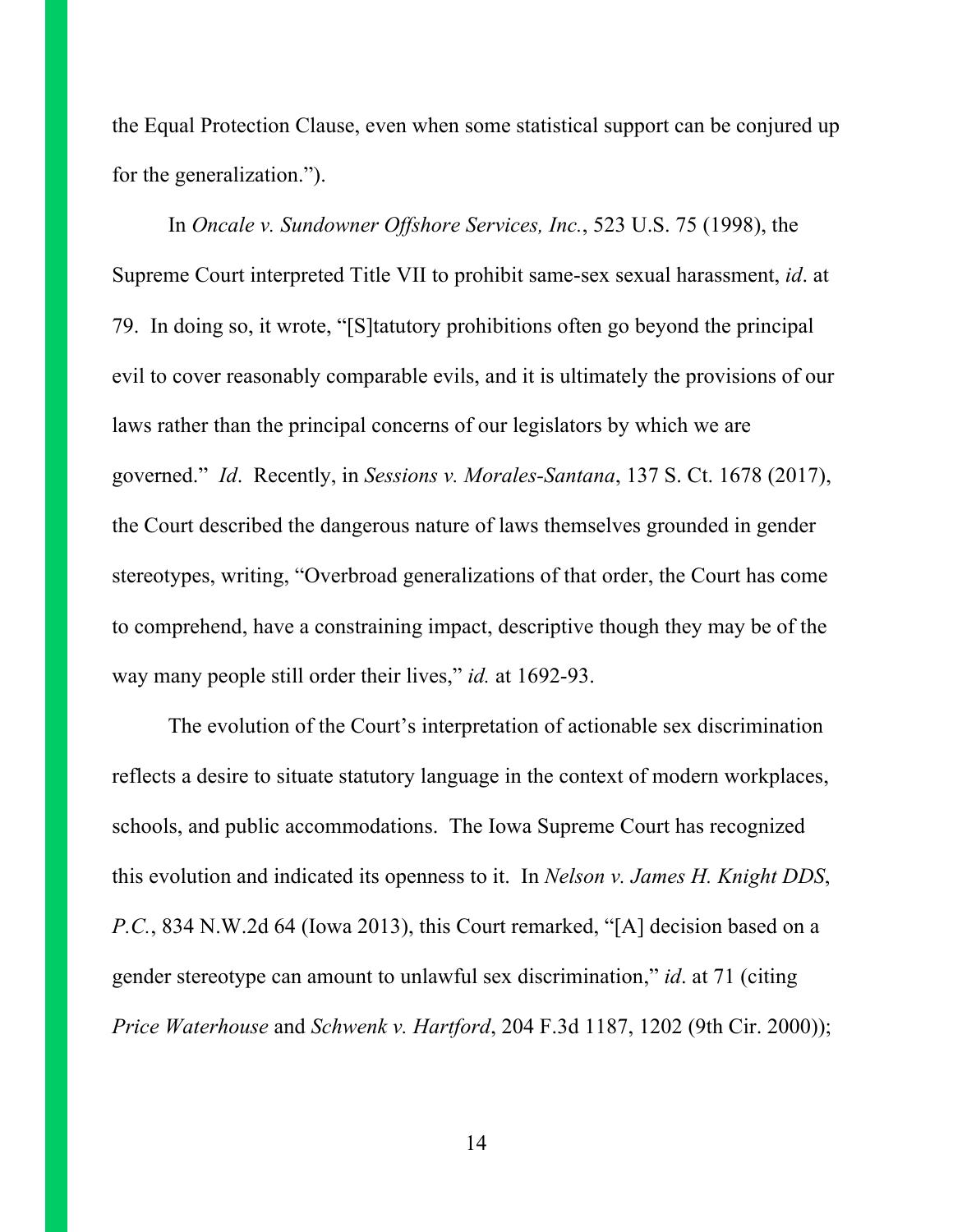the Equal Protection Clause, even when some statistical support can be conjured up for the generalization.").

In *Oncale v. Sundowner Offshore Services, Inc.*, 523 U.S. 75 (1998), the Supreme Court interpreted Title VII to prohibit same-sex sexual harassment, *id*. at 79. In doing so, it wrote, "[S]tatutory prohibitions often go beyond the principal evil to cover reasonably comparable evils, and it is ultimately the provisions of our laws rather than the principal concerns of our legislators by which we are governed." *Id*. Recently, in *Sessions v. Morales-Santana*, 137 S. Ct. 1678 (2017), the Court described the dangerous nature of laws themselves grounded in gender stereotypes, writing, "Overbroad generalizations of that order, the Court has come to comprehend, have a constraining impact, descriptive though they may be of the way many people still order their lives," *id.* at 1692-93.

The evolution of the Court's interpretation of actionable sex discrimination reflects a desire to situate statutory language in the context of modern workplaces, schools, and public accommodations. The Iowa Supreme Court has recognized this evolution and indicated its openness to it. In *Nelson v. James H. Knight DDS*, *P.C.*, 834 N.W.2d 64 (Iowa 2013), this Court remarked, "[A] decision based on a gender stereotype can amount to unlawful sex discrimination," *id*. at 71 (citing *Price Waterhouse* and *Schwenk v. Hartford*, 204 F.3d 1187, 1202 (9th Cir. 2000));

14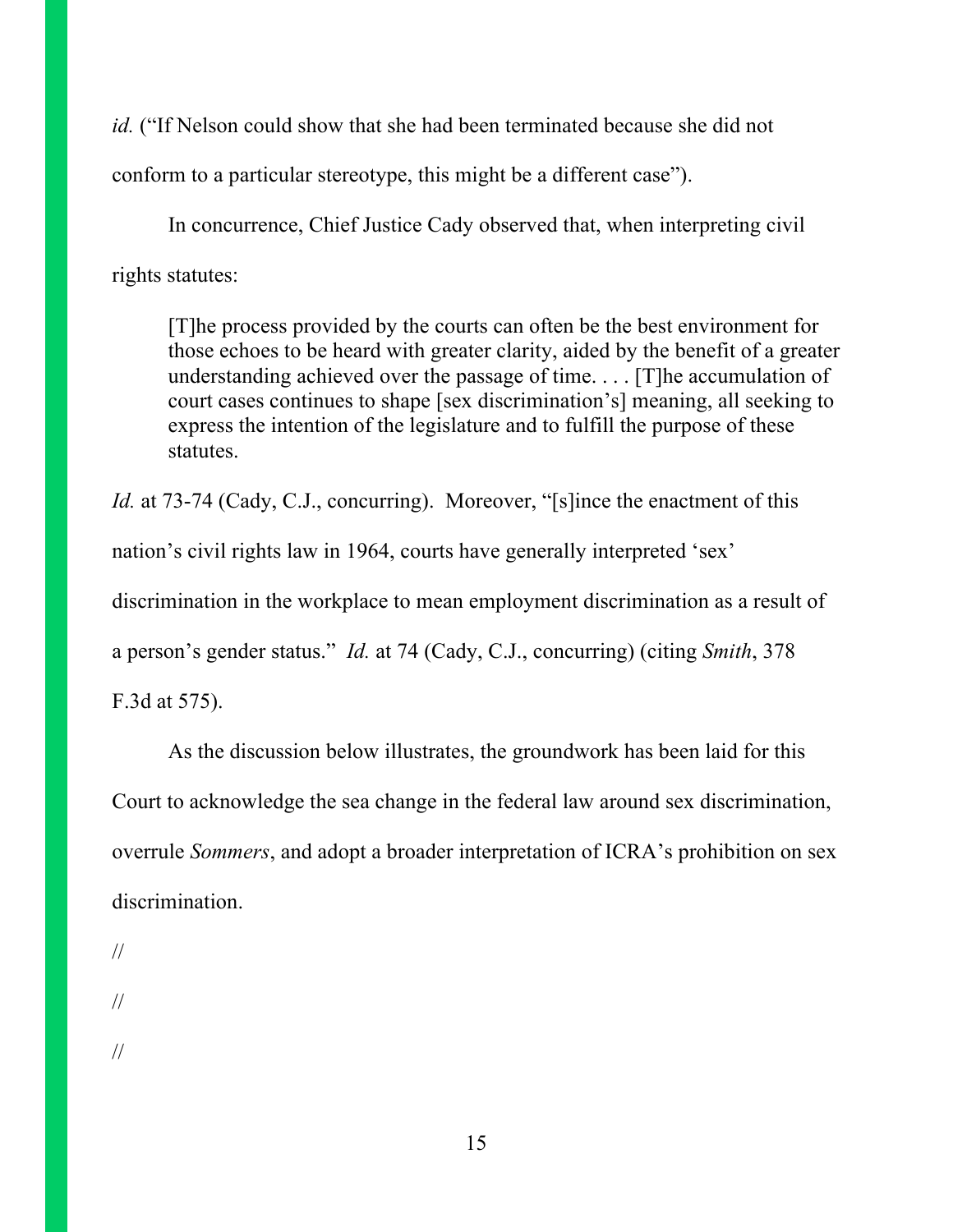*id.* ("If Nelson could show that she had been terminated because she did not conform to a particular stereotype, this might be a different case").

In concurrence, Chief Justice Cady observed that, when interpreting civil rights statutes:

[T]he process provided by the courts can often be the best environment for those echoes to be heard with greater clarity, aided by the benefit of a greater understanding achieved over the passage of time. . . . [T]he accumulation of court cases continues to shape [sex discrimination's] meaning, all seeking to express the intention of the legislature and to fulfill the purpose of these statutes.

*Id.* at 73-74 (Cady, C.J., concurring). Moreover, "[s]ince the enactment of this nation's civil rights law in 1964, courts have generally interpreted 'sex' discrimination in the workplace to mean employment discrimination as a result of a person's gender status." *Id.* at 74 (Cady, C.J., concurring) (citing *Smith*, 378 F.3d at 575).

As the discussion below illustrates, the groundwork has been laid for this Court to acknowledge the sea change in the federal law around sex discrimination, overrule *Sommers*, and adopt a broader interpretation of ICRA's prohibition on sex discrimination.

- //
- //
- //

15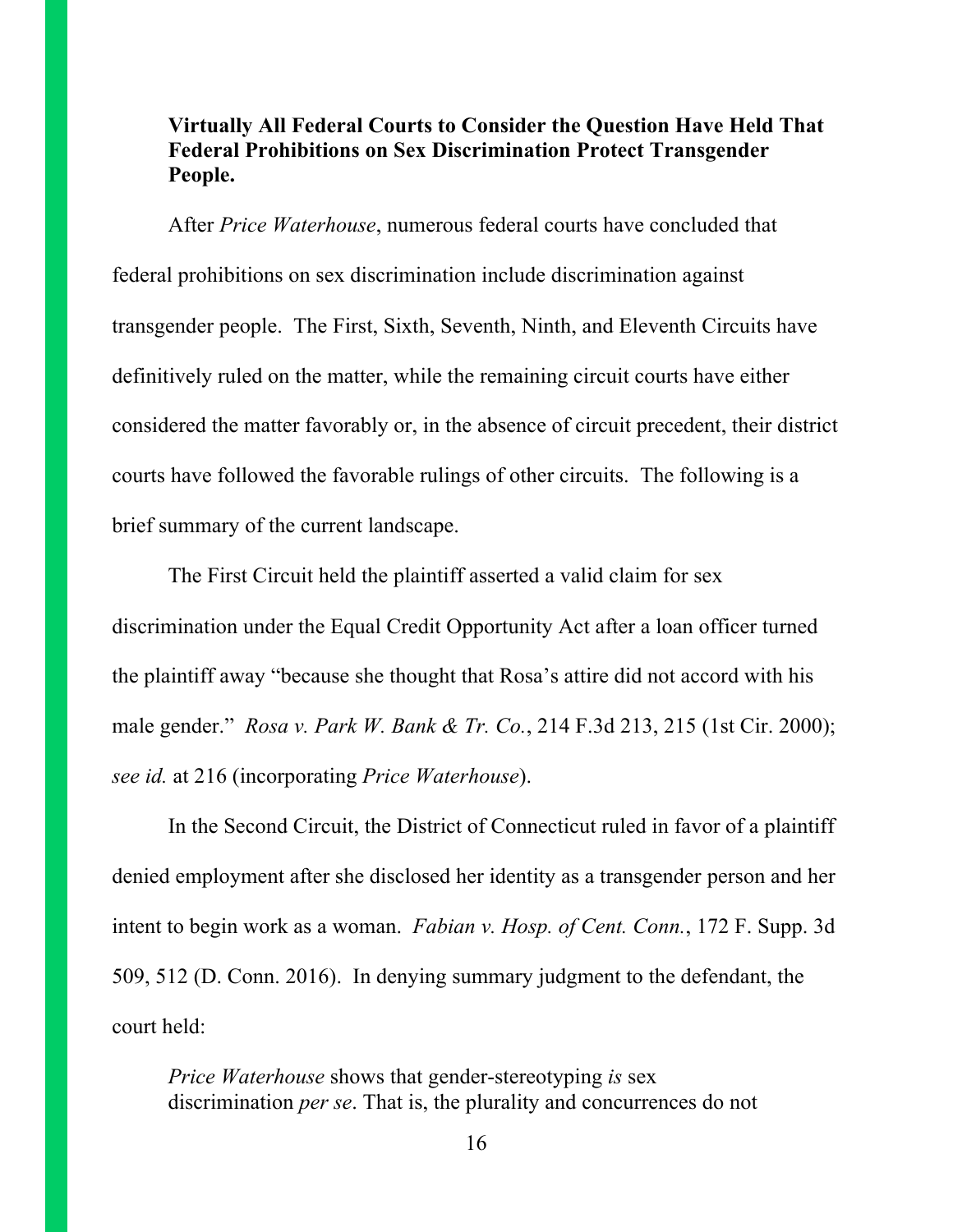#### **Virtually All Federal Courts to Consider the Question Have Held That Federal Prohibitions on Sex Discrimination Protect Transgender People.**

After *Price Waterhouse*, numerous federal courts have concluded that federal prohibitions on sex discrimination include discrimination against transgender people. The First, Sixth, Seventh, Ninth, and Eleventh Circuits have definitively ruled on the matter, while the remaining circuit courts have either considered the matter favorably or, in the absence of circuit precedent, their district courts have followed the favorable rulings of other circuits. The following is a brief summary of the current landscape.

The First Circuit held the plaintiff asserted a valid claim for sex discrimination under the Equal Credit Opportunity Act after a loan officer turned the plaintiff away "because she thought that Rosa's attire did not accord with his male gender." *Rosa v. Park W. Bank & Tr. Co.*, 214 F.3d 213, 215 (1st Cir. 2000); *see id.* at 216 (incorporating *Price Waterhouse*).

In the Second Circuit, the District of Connecticut ruled in favor of a plaintiff denied employment after she disclosed her identity as a transgender person and her intent to begin work as a woman. *Fabian v. Hosp. of Cent. Conn.*, 172 F. Supp. 3d 509, 512 (D. Conn. 2016). In denying summary judgment to the defendant, the court held:

*Price Waterhouse* shows that gender-stereotyping *is* sex discrimination *per se*. That is, the plurality and concurrences do not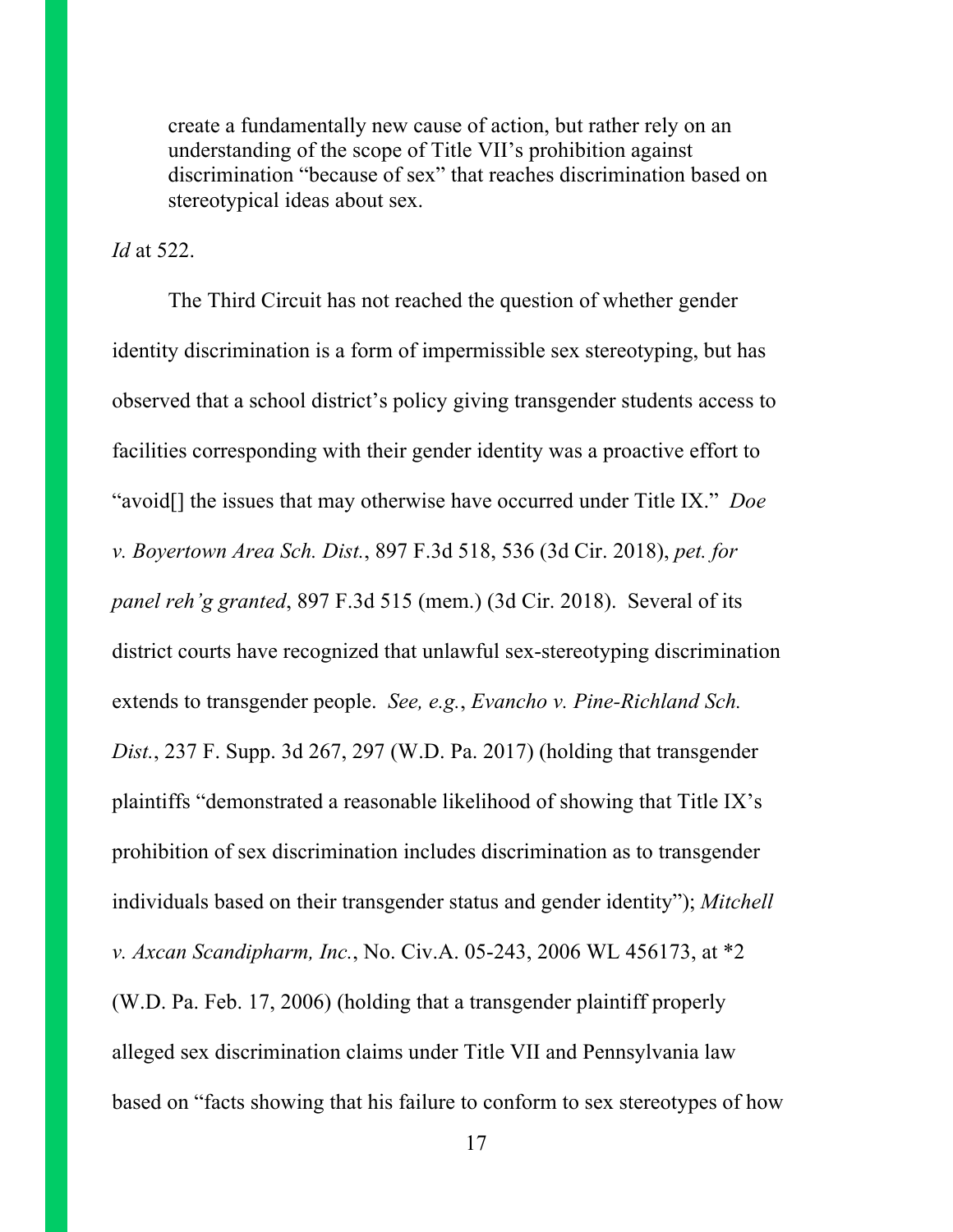create a fundamentally new cause of action, but rather rely on an understanding of the scope of Title VII's prohibition against discrimination "because of sex" that reaches discrimination based on stereotypical ideas about sex.

*Id* at 522.

The Third Circuit has not reached the question of whether gender identity discrimination is a form of impermissible sex stereotyping, but has observed that a school district's policy giving transgender students access to facilities corresponding with their gender identity was a proactive effort to "avoid[] the issues that may otherwise have occurred under Title IX." *Doe v. Boyertown Area Sch. Dist.*, 897 F.3d 518, 536 (3d Cir. 2018), *pet. for panel reh'g granted*, 897 F.3d 515 (mem.) (3d Cir. 2018). Several of its district courts have recognized that unlawful sex-stereotyping discrimination extends to transgender people. *See, e.g.*, *Evancho v. Pine-Richland Sch. Dist.*, 237 F. Supp. 3d 267, 297 (W.D. Pa. 2017) (holding that transgender plaintiffs "demonstrated a reasonable likelihood of showing that Title IX's prohibition of sex discrimination includes discrimination as to transgender individuals based on their transgender status and gender identity"); *Mitchell v. Axcan Scandipharm, Inc.*, No. Civ.A. 05-243, 2006 WL 456173, at \*2 (W.D. Pa. Feb. 17, 2006) (holding that a transgender plaintiff properly alleged sex discrimination claims under Title VII and Pennsylvania law based on "facts showing that his failure to conform to sex stereotypes of how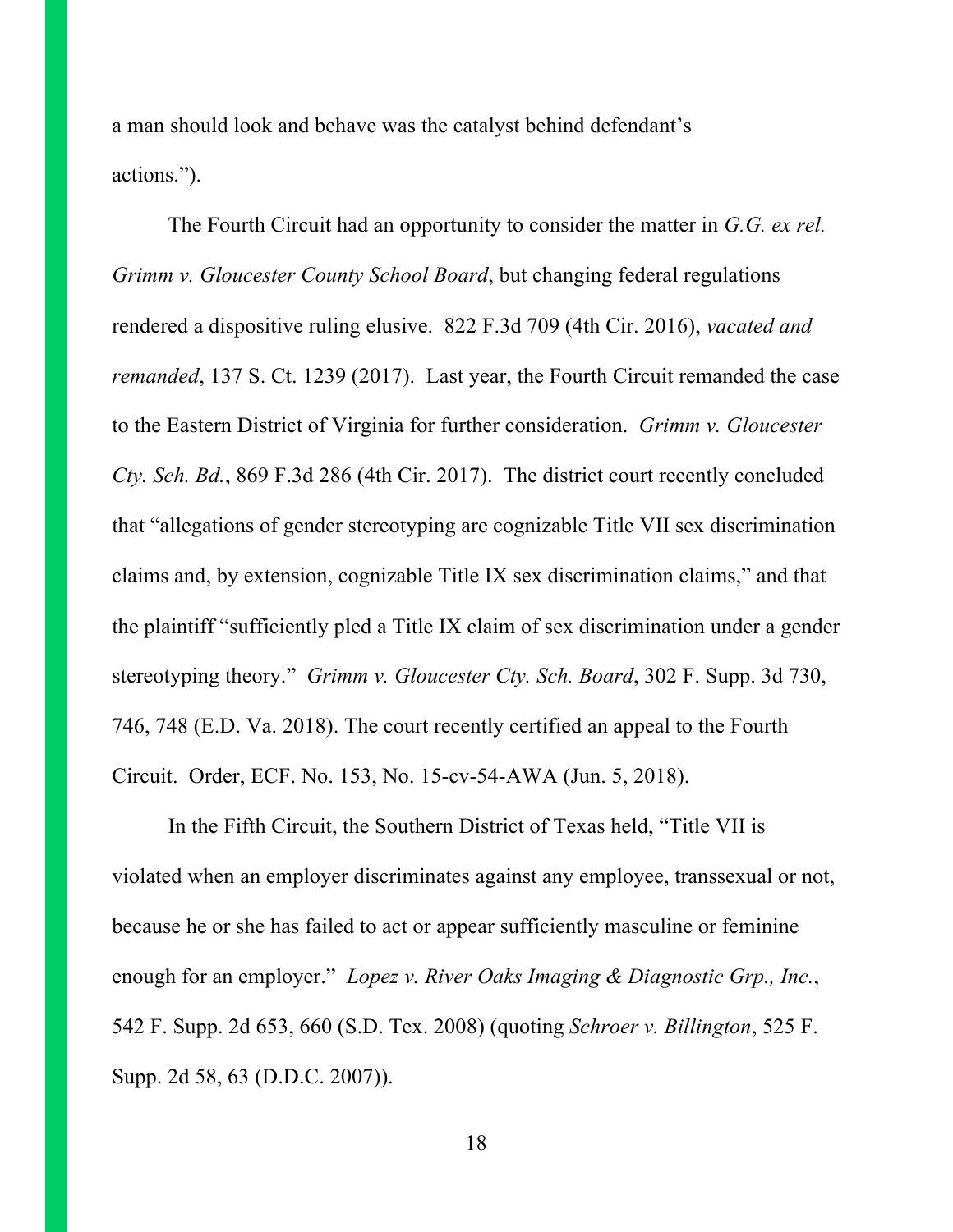a man should look and behave was the catalyst behind defendant's actions.").

The Fourth Circuit had an opportunity to consider the matter in *G.G. ex rel. Grimm v. Gloucester County School Board*, but changing federal regulations rendered a dispositive ruling elusive. 822 F.3d 709 (4th Cir. 2016), *vacated and remanded*, 137 S. Ct. 1239 (2017). Last year, the Fourth Circuit remanded the case to the Eastern District of Virginia for further consideration. *Grimm v. Gloucester Cty. Sch. Bd.*, 869 F.3d 286 (4th Cir. 2017). The district court recently concluded that "allegations of gender stereotyping are cognizable Title VII sex discrimination claims and, by extension, cognizable Title IX sex discrimination claims," and that the plaintiff "sufficiently pled a Title IX claim of sex discrimination under a gender stereotyping theory." *Grimm v. Gloucester Cty. Sch. Board*, 302 F. Supp. 3d 730, 746, 748 (E.D. Va. 2018). The court recently certified an appeal to the Fourth Circuit. Order, ECF. No. 153, No. 15-cv-54-AWA (Jun. 5, 2018).

In the Fifth Circuit, the Southern District of Texas held, "Title VII is violated when an employer discriminates against any employee, transsexual or not, because he or she has failed to act or appear sufficiently masculine or feminine enough for an employer." *Lopez v. River Oaks Imaging & Diagnostic Grp., Inc.*, 542 F. Supp. 2d 653, 660 (S.D. Tex. 2008) (quoting *Schroer v. Billington*, 525 F. Supp. 2d 58, 63 (D.D.C. 2007)).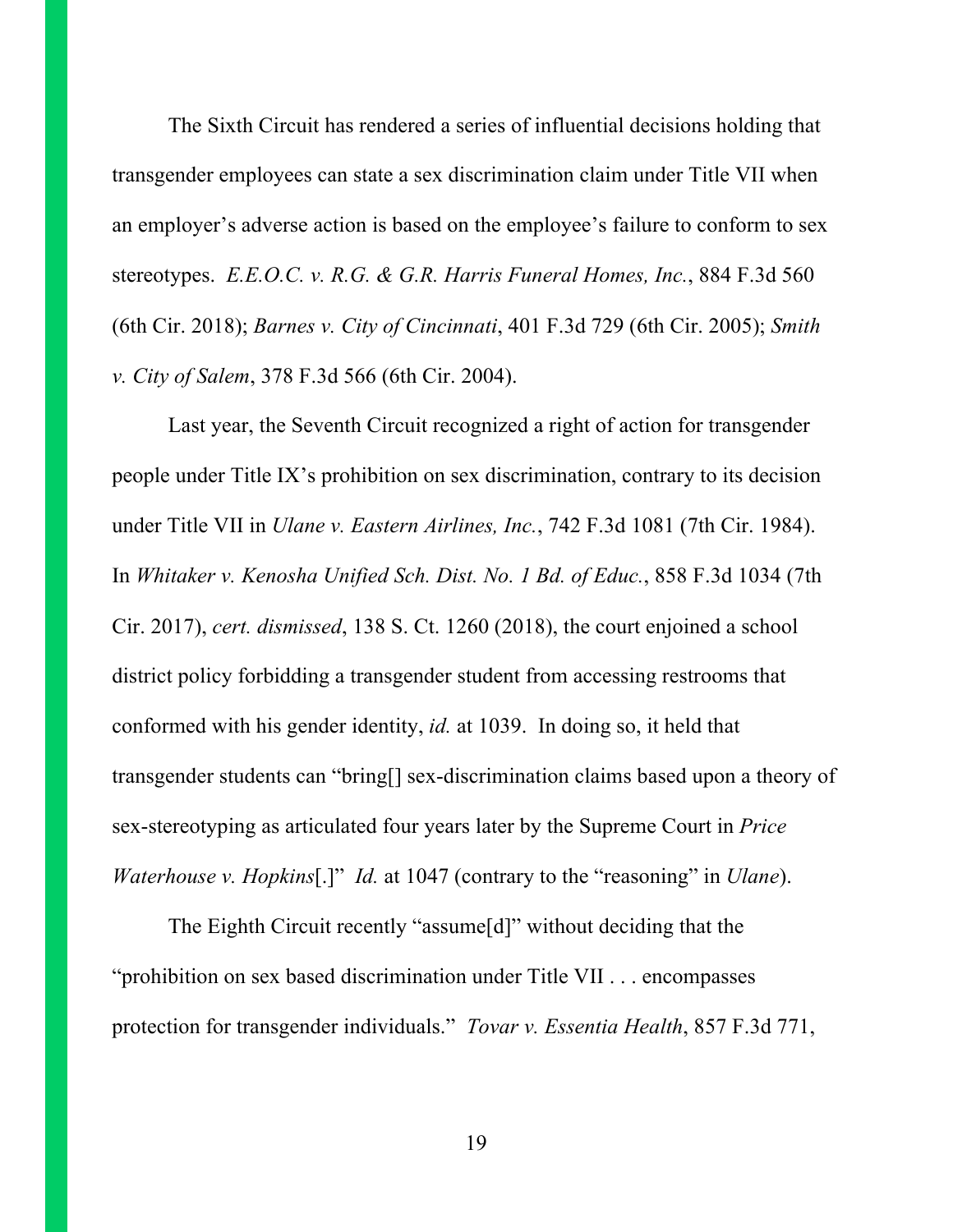The Sixth Circuit has rendered a series of influential decisions holding that transgender employees can state a sex discrimination claim under Title VII when an employer's adverse action is based on the employee's failure to conform to sex stereotypes. *E.E.O.C. v. R.G. & G.R. Harris Funeral Homes, Inc.*, 884 F.3d 560 (6th Cir. 2018); *Barnes v. City of Cincinnati*, 401 F.3d 729 (6th Cir. 2005); *Smith v. City of Salem*, 378 F.3d 566 (6th Cir. 2004).

Last year, the Seventh Circuit recognized a right of action for transgender people under Title IX's prohibition on sex discrimination, contrary to its decision under Title VII in *Ulane v. Eastern Airlines, Inc.*, 742 F.3d 1081 (7th Cir. 1984). In *Whitaker v. Kenosha Unified Sch. Dist. No. 1 Bd. of Educ.*, 858 F.3d 1034 (7th Cir. 2017), *cert. dismissed*, 138 S. Ct. 1260 (2018), the court enjoined a school district policy forbidding a transgender student from accessing restrooms that conformed with his gender identity, *id.* at 1039. In doing so, it held that transgender students can "bring[] sex-discrimination claims based upon a theory of sex-stereotyping as articulated four years later by the Supreme Court in *Price Waterhouse v. Hopkins*[.]" *Id.* at 1047 (contrary to the "reasoning" in *Ulane*).

The Eighth Circuit recently "assume[d]" without deciding that the "prohibition on sex based discrimination under Title VII . . . encompasses protection for transgender individuals." *Tovar v. Essentia Health*, 857 F.3d 771,

19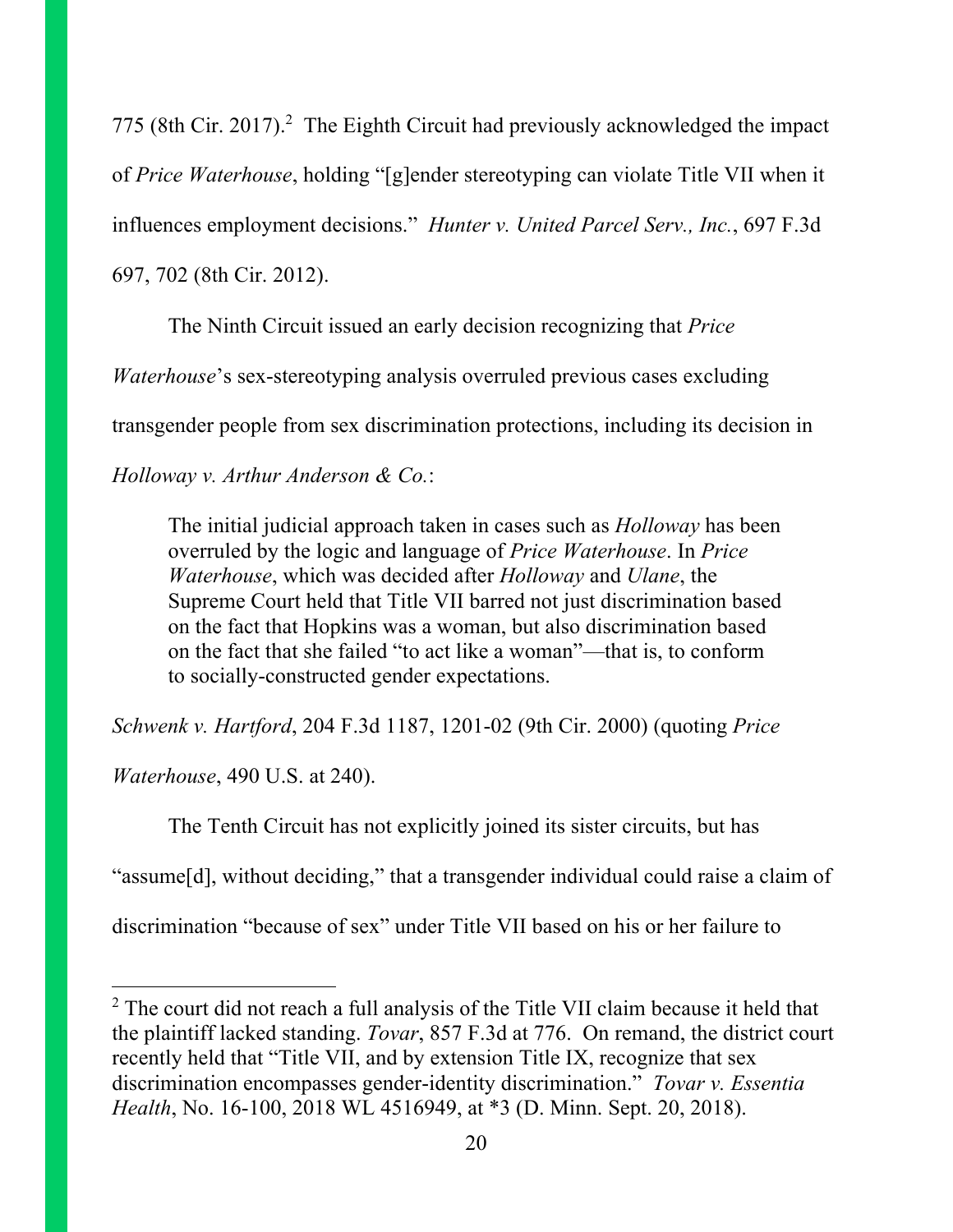775 (8th Cir. 2017).<sup>2</sup> The Eighth Circuit had previously acknowledged the impact of *Price Waterhouse*, holding "[g]ender stereotyping can violate Title VII when it influences employment decisions." *Hunter v. United Parcel Serv., Inc.*, 697 F.3d 697, 702 (8th Cir. 2012).

The Ninth Circuit issued an early decision recognizing that *Price* 

*Waterhouse*'s sex-stereotyping analysis overruled previous cases excluding

transgender people from sex discrimination protections, including its decision in

*Holloway v. Arthur Anderson & Co.*:

The initial judicial approach taken in cases such as *Holloway* has been overruled by the logic and language of *Price Waterhouse*. In *Price Waterhouse*, which was decided after *Holloway* and *Ulane*, the Supreme Court held that Title VII barred not just discrimination based on the fact that Hopkins was a woman, but also discrimination based on the fact that she failed "to act like a woman"—that is, to conform to socially-constructed gender expectations.

*Schwenk v. Hartford*, 204 F.3d 1187, 1201-02 (9th Cir. 2000) (quoting *Price* 

*Waterhouse*, 490 U.S. at 240).

 $\overline{\phantom{a}}$ 

The Tenth Circuit has not explicitly joined its sister circuits, but has

"assume[d], without deciding," that a transgender individual could raise a claim of

discrimination "because of sex" under Title VII based on his or her failure to

<sup>&</sup>lt;sup>2</sup> The court did not reach a full analysis of the Title VII claim because it held that the plaintiff lacked standing. *Tovar*, 857 F.3d at 776. On remand, the district court recently held that "Title VII, and by extension Title IX, recognize that sex discrimination encompasses gender-identity discrimination." *Tovar v. Essentia Health*, No. 16-100, 2018 WL 4516949, at \*3 (D. Minn. Sept. 20, 2018).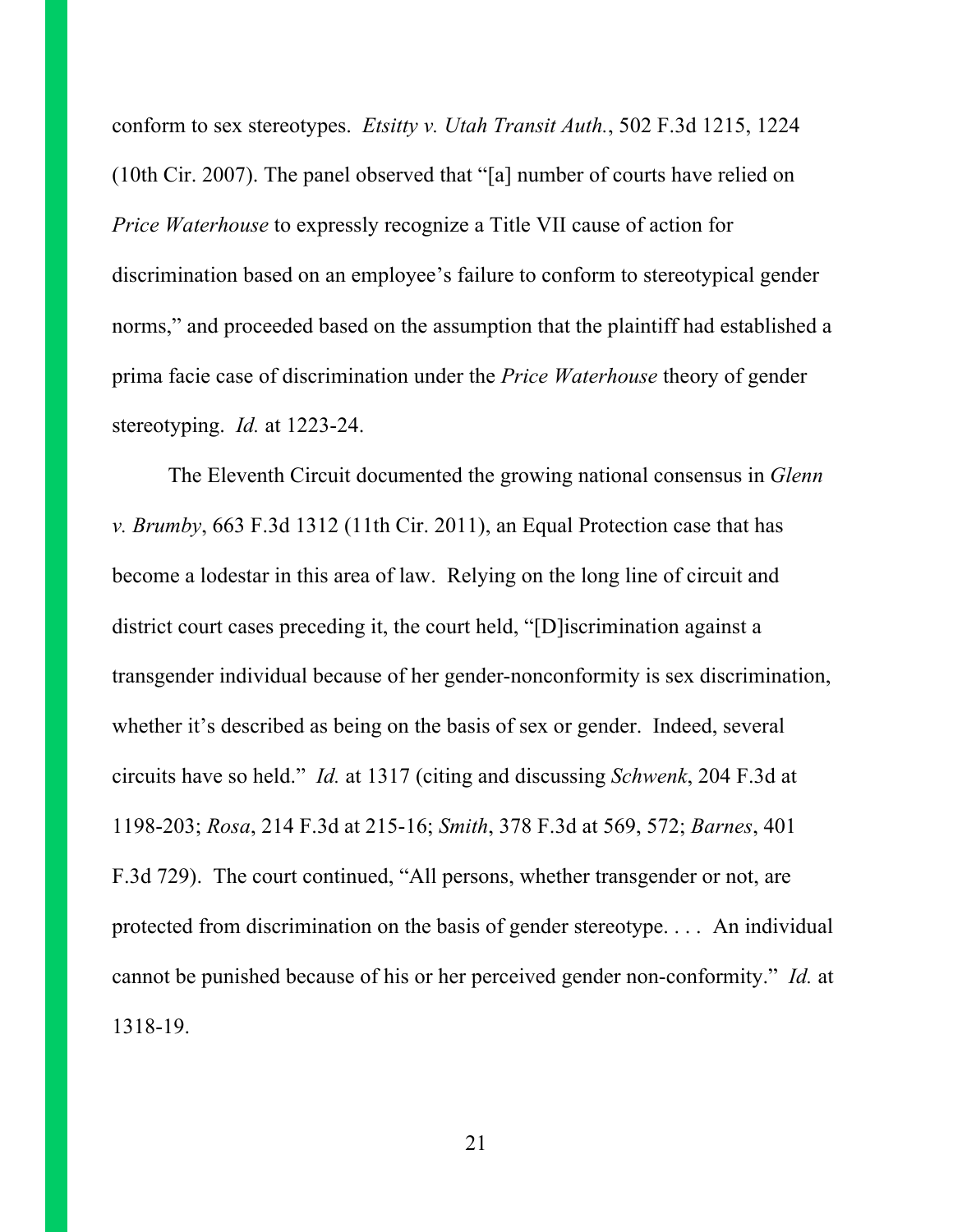conform to sex stereotypes. *Etsitty v. Utah Transit Auth.*, 502 F.3d 1215, 1224 (10th Cir. 2007). The panel observed that "[a] number of courts have relied on *Price Waterhouse* to expressly recognize a Title VII cause of action for discrimination based on an employee's failure to conform to stereotypical gender norms," and proceeded based on the assumption that the plaintiff had established a prima facie case of discrimination under the *Price Waterhouse* theory of gender stereotyping. *Id.* at 1223-24.

The Eleventh Circuit documented the growing national consensus in *Glenn v. Brumby*, 663 F.3d 1312 (11th Cir. 2011), an Equal Protection case that has become a lodestar in this area of law. Relying on the long line of circuit and district court cases preceding it, the court held, "[D]iscrimination against a transgender individual because of her gender-nonconformity is sex discrimination, whether it's described as being on the basis of sex or gender. Indeed, several circuits have so held." *Id.* at 1317 (citing and discussing *Schwenk*, 204 F.3d at 1198-203; *Rosa*, 214 F.3d at 215-16; *Smith*, 378 F.3d at 569, 572; *Barnes*, 401 F.3d 729). The court continued, "All persons, whether transgender or not, are protected from discrimination on the basis of gender stereotype. . . . An individual cannot be punished because of his or her perceived gender non-conformity." *Id.* at 1318-19.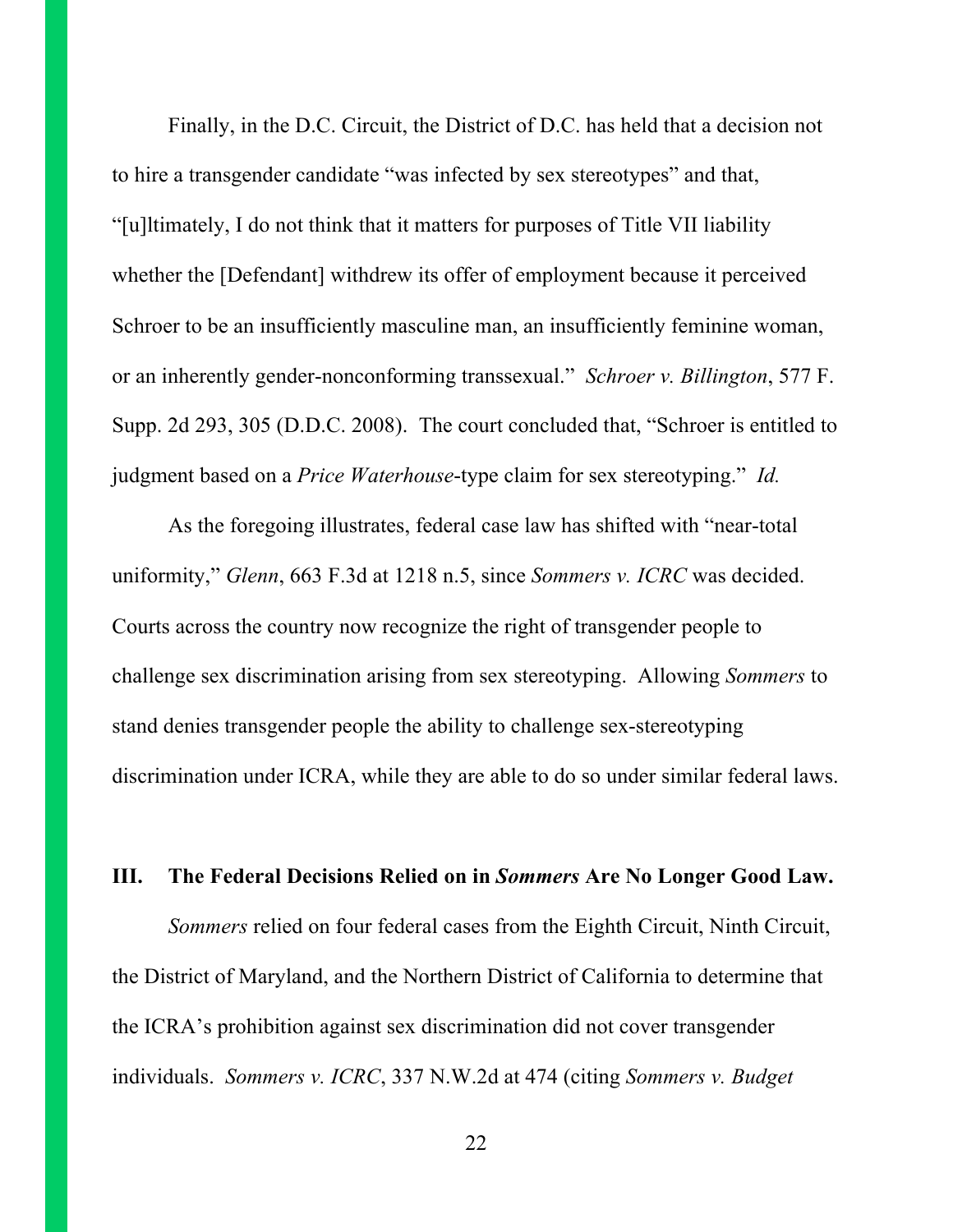Finally, in the D.C. Circuit, the District of D.C. has held that a decision not to hire a transgender candidate "was infected by sex stereotypes" and that, "[u]ltimately, I do not think that it matters for purposes of Title VII liability whether the [Defendant] withdrew its offer of employment because it perceived Schroer to be an insufficiently masculine man, an insufficiently feminine woman, or an inherently gender-nonconforming transsexual." *Schroer v. Billington*, 577 F. Supp. 2d 293, 305 (D.D.C. 2008). The court concluded that, "Schroer is entitled to judgment based on a *Price Waterhouse*-type claim for sex stereotyping." *Id.*

As the foregoing illustrates, federal case law has shifted with "near-total uniformity," *Glenn*, 663 F.3d at 1218 n.5, since *Sommers v. ICRC* was decided. Courts across the country now recognize the right of transgender people to challenge sex discrimination arising from sex stereotyping. Allowing *Sommers* to stand denies transgender people the ability to challenge sex-stereotyping discrimination under ICRA, while they are able to do so under similar federal laws.

### **III. The Federal Decisions Relied on in** *Sommers* **Are No Longer Good Law.**

*Sommers* relied on four federal cases from the Eighth Circuit, Ninth Circuit, the District of Maryland, and the Northern District of California to determine that the ICRA's prohibition against sex discrimination did not cover transgender individuals. *Sommers v. ICRC*, 337 N.W.2d at 474 (citing *Sommers v. Budget* 

22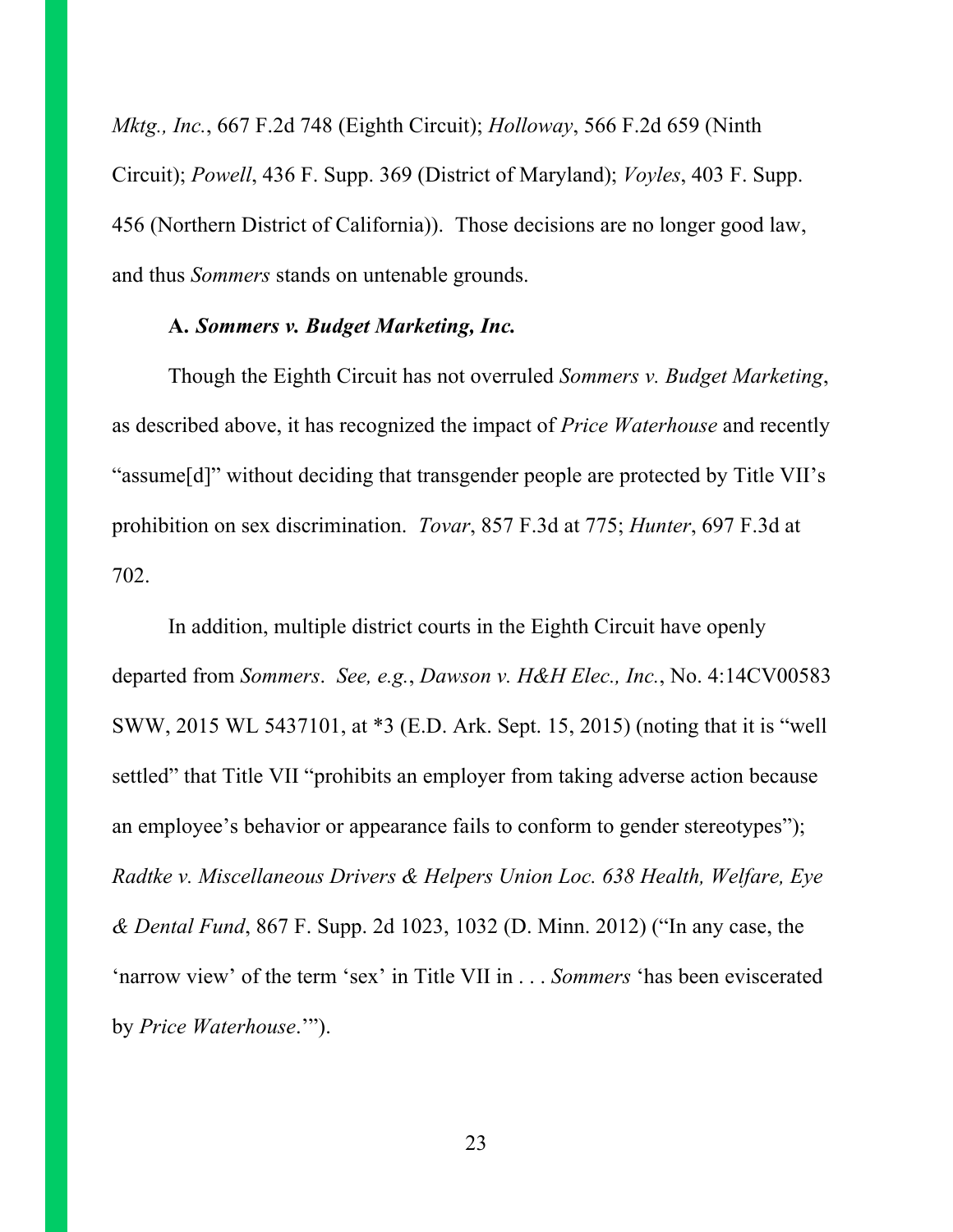*Mktg., Inc.*, 667 F.2d 748 (Eighth Circuit); *Holloway*, 566 F.2d 659 (Ninth Circuit); *Powell*, 436 F. Supp. 369 (District of Maryland); *Voyles*, 403 F. Supp. 456 (Northern District of California)). Those decisions are no longer good law, and thus *Sommers* stands on untenable grounds.

#### **A.** *Sommers v. Budget Marketing, Inc.*

Though the Eighth Circuit has not overruled *Sommers v. Budget Marketing*, as described above, it has recognized the impact of *Price Waterhouse* and recently "assume[d]" without deciding that transgender people are protected by Title VII's prohibition on sex discrimination. *Tovar*, 857 F.3d at 775; *Hunter*, 697 F.3d at 702.

In addition, multiple district courts in the Eighth Circuit have openly departed from *Sommers*. *See, e.g.*, *Dawson v. H&H Elec., Inc.*, No. 4:14CV00583 SWW, 2015 WL 5437101, at \*3 (E.D. Ark. Sept. 15, 2015) (noting that it is "well settled" that Title VII "prohibits an employer from taking adverse action because an employee's behavior or appearance fails to conform to gender stereotypes"); *Radtke v. Miscellaneous Drivers & Helpers Union Loc. 638 Health, Welfare, Eye & Dental Fund*, 867 F. Supp. 2d 1023, 1032 (D. Minn. 2012) ("In any case, the 'narrow view' of the term 'sex' in Title VII in . . . *Sommers* 'has been eviscerated by *Price Waterhouse*.'").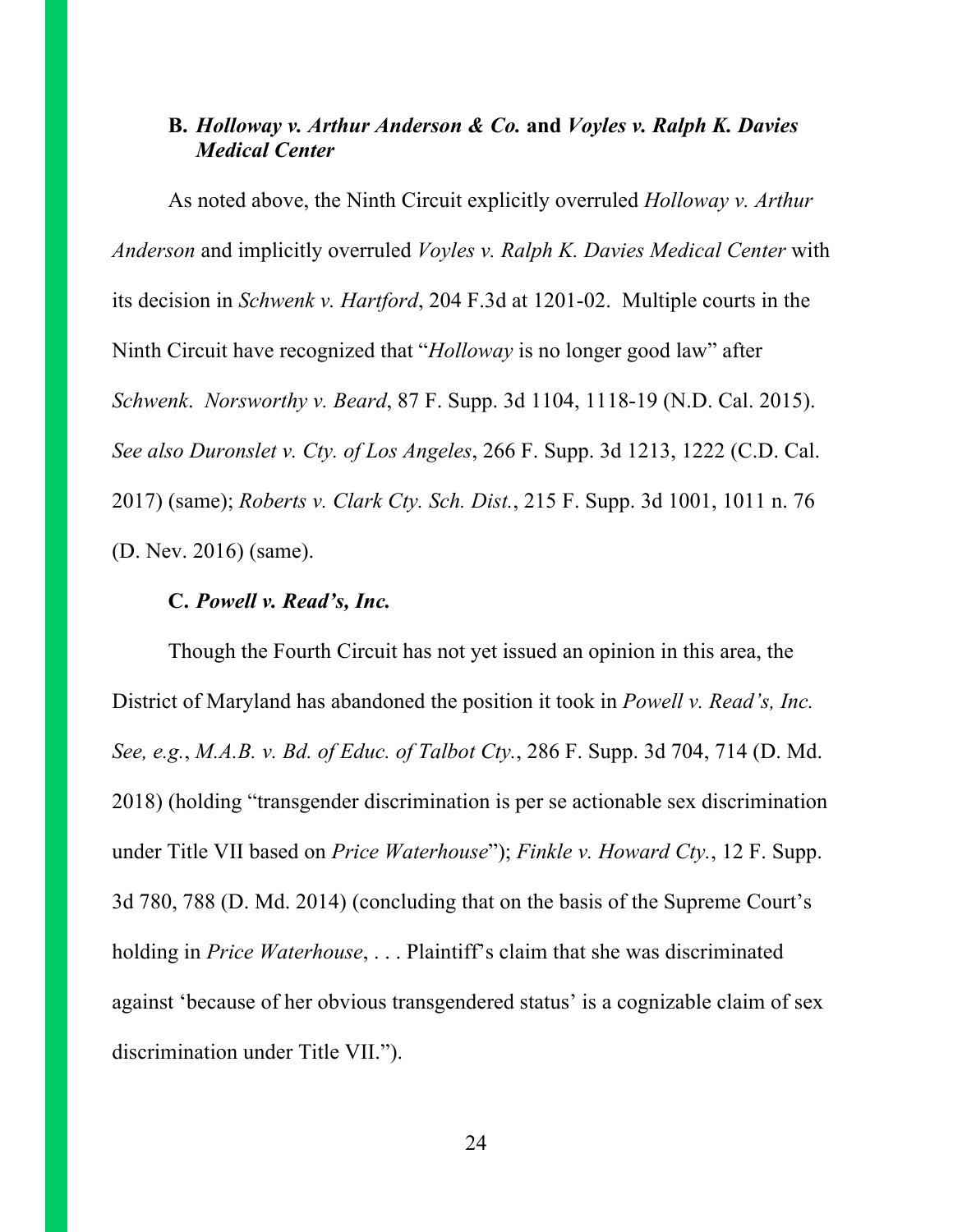### **B.** *Holloway v. Arthur Anderson & Co.* **and** *Voyles v. Ralph K. Davies Medical Center*

As noted above, the Ninth Circuit explicitly overruled *Holloway v. Arthur Anderson* and implicitly overruled *Voyles v. Ralph K. Davies Medical Center* with its decision in *Schwenk v. Hartford*, 204 F.3d at 1201-02. Multiple courts in the Ninth Circuit have recognized that "*Holloway* is no longer good law" after *Schwenk*. *Norsworthy v. Beard*, 87 F. Supp. 3d 1104, 1118-19 (N.D. Cal. 2015). *See also Duronslet v. Cty. of Los Angeles*, 266 F. Supp. 3d 1213, 1222 (C.D. Cal. 2017) (same); *Roberts v. Clark Cty. Sch. Dist.*, 215 F. Supp. 3d 1001, 1011 n. 76 (D. Nev. 2016) (same).

#### **C.** *Powell v. Read's, Inc.*

Though the Fourth Circuit has not yet issued an opinion in this area, the District of Maryland has abandoned the position it took in *Powell v. Read's, Inc. See, e.g.*, *M.A.B. v. Bd. of Educ. of Talbot Cty.*, 286 F. Supp. 3d 704, 714 (D. Md. 2018) (holding "transgender discrimination is per se actionable sex discrimination under Title VII based on *Price Waterhouse*"); *Finkle v. Howard Cty.*, 12 F. Supp. 3d 780, 788 (D. Md. 2014) (concluding that on the basis of the Supreme Court's holding in *Price Waterhouse*, . . . Plaintiff's claim that she was discriminated against 'because of her obvious transgendered status' is a cognizable claim of sex discrimination under Title VII.").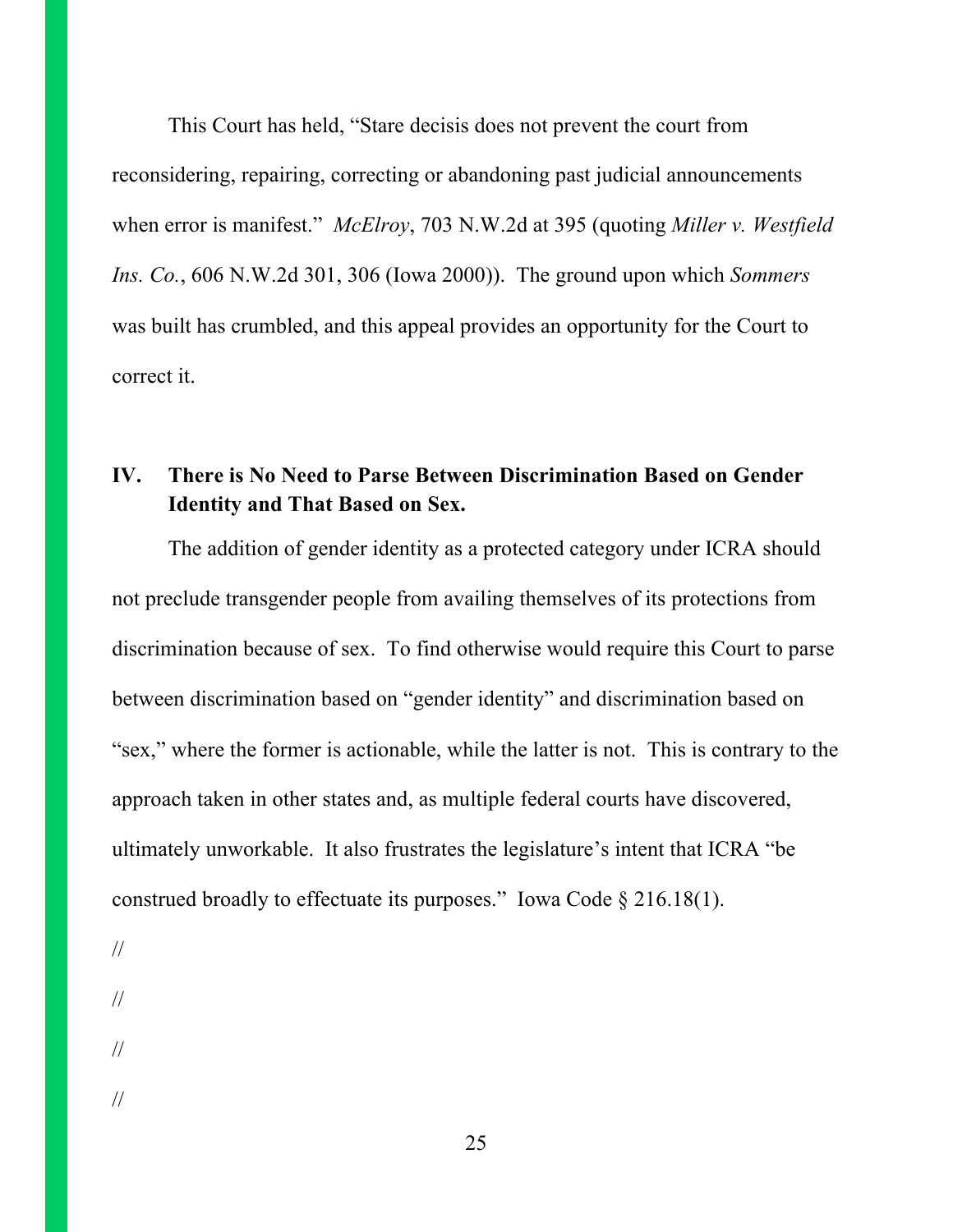This Court has held, "Stare decisis does not prevent the court from reconsidering, repairing, correcting or abandoning past judicial announcements when error is manifest." *McElroy*, 703 N.W.2d at 395 (quoting *Miller v. Westfield Ins. Co.*, 606 N.W.2d 301, 306 (Iowa 2000)). The ground upon which *Sommers*  was built has crumbled, and this appeal provides an opportunity for the Court to correct it.

# **IV. There is No Need to Parse Between Discrimination Based on Gender Identity and That Based on Sex.**

The addition of gender identity as a protected category under ICRA should not preclude transgender people from availing themselves of its protections from discrimination because of sex. To find otherwise would require this Court to parse between discrimination based on "gender identity" and discrimination based on "sex," where the former is actionable, while the latter is not. This is contrary to the approach taken in other states and, as multiple federal courts have discovered, ultimately unworkable. It also frustrates the legislature's intent that ICRA "be construed broadly to effectuate its purposes." Iowa Code  $\S 216.18(1)$ .

//

//

//

//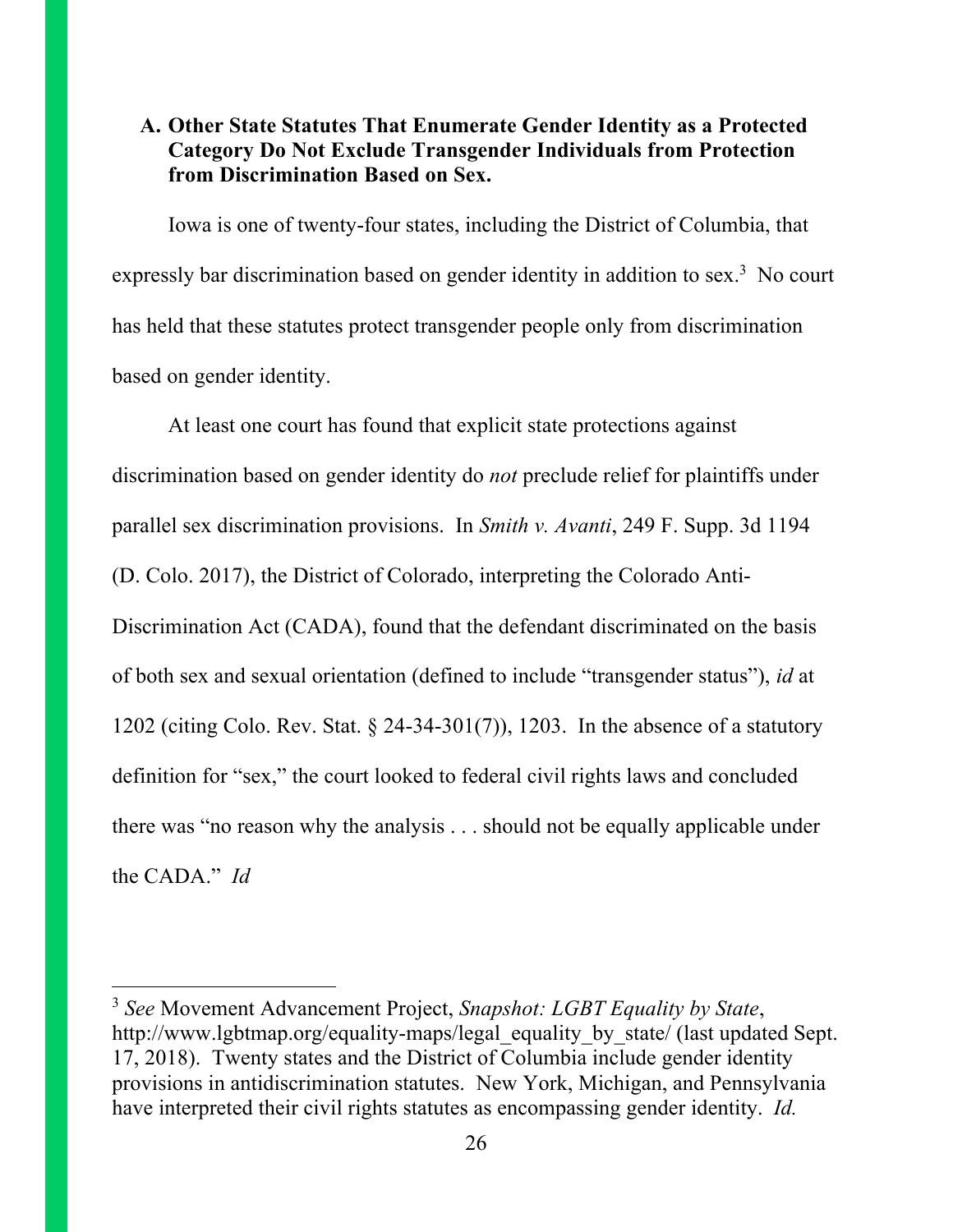#### **A. Other State Statutes That Enumerate Gender Identity as a Protected Category Do Not Exclude Transgender Individuals from Protection from Discrimination Based on Sex.**

Iowa is one of twenty-four states, including the District of Columbia, that expressly bar discrimination based on gender identity in addition to sex.<sup>3</sup> No court has held that these statutes protect transgender people only from discrimination based on gender identity.

At least one court has found that explicit state protections against discrimination based on gender identity do *not* preclude relief for plaintiffs under parallel sex discrimination provisions. In *Smith v. Avanti*, 249 F. Supp. 3d 1194 (D. Colo. 2017), the District of Colorado, interpreting the Colorado Anti-Discrimination Act (CADA), found that the defendant discriminated on the basis of both sex and sexual orientation (defined to include "transgender status"), *id* at 1202 (citing Colo. Rev. Stat. § 24-34-301(7)), 1203. In the absence of a statutory definition for "sex," the court looked to federal civil rights laws and concluded there was "no reason why the analysis . . . should not be equally applicable under the CADA." *Id*

 $\overline{\phantom{a}}$ 

<sup>3</sup> *See* Movement Advancement Project, *Snapshot: LGBT Equality by State*, http://www.lgbtmap.org/equality-maps/legal\_equality\_by\_state/ (last updated Sept. 17, 2018). Twenty states and the District of Columbia include gender identity provisions in antidiscrimination statutes. New York, Michigan, and Pennsylvania have interpreted their civil rights statutes as encompassing gender identity. *Id.*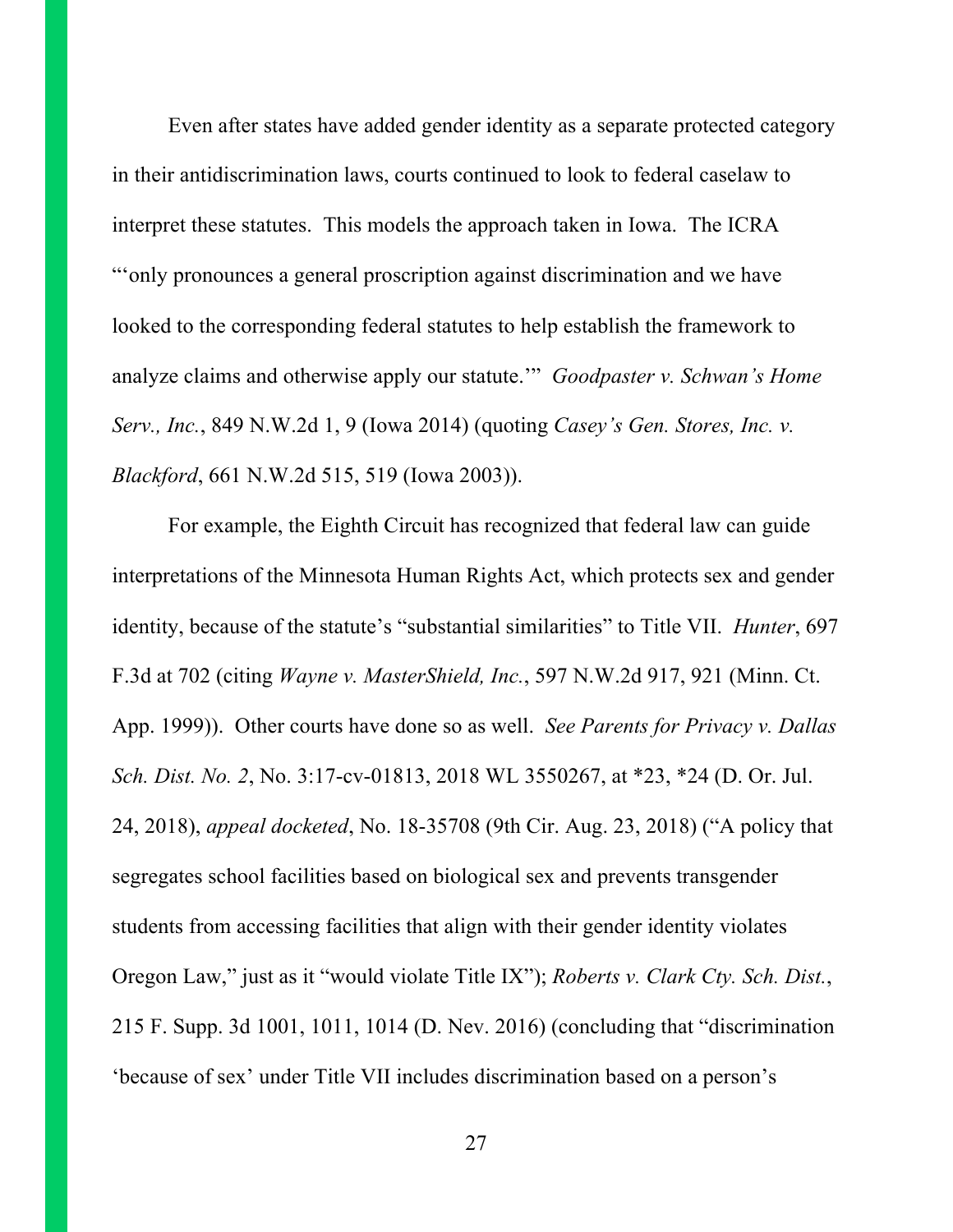Even after states have added gender identity as a separate protected category in their antidiscrimination laws, courts continued to look to federal caselaw to interpret these statutes. This models the approach taken in Iowa. The ICRA "'only pronounces a general proscription against discrimination and we have looked to the corresponding federal statutes to help establish the framework to analyze claims and otherwise apply our statute.'" *Goodpaster v. Schwan's Home Serv., Inc.*, 849 N.W.2d 1, 9 (Iowa 2014) (quoting *Casey's Gen. Stores, Inc. v. Blackford*, 661 N.W.2d 515, 519 (Iowa 2003)).

For example, the Eighth Circuit has recognized that federal law can guide interpretations of the Minnesota Human Rights Act, which protects sex and gender identity, because of the statute's "substantial similarities" to Title VII. *Hunter*, 697 F.3d at 702 (citing *Wayne v. MasterShield, Inc.*, 597 N.W.2d 917, 921 (Minn. Ct. App. 1999)). Other courts have done so as well. *See Parents for Privacy v. Dallas Sch. Dist. No. 2*, No. 3:17-cv-01813, 2018 WL 3550267, at \*23, \*24 (D. Or. Jul. 24, 2018), *appeal docketed*, No. 18-35708 (9th Cir. Aug. 23, 2018) ("A policy that segregates school facilities based on biological sex and prevents transgender students from accessing facilities that align with their gender identity violates Oregon Law," just as it "would violate Title IX"); *Roberts v. Clark Cty. Sch. Dist.*, 215 F. Supp. 3d 1001, 1011, 1014 (D. Nev. 2016) (concluding that "discrimination 'because of sex' under Title VII includes discrimination based on a person's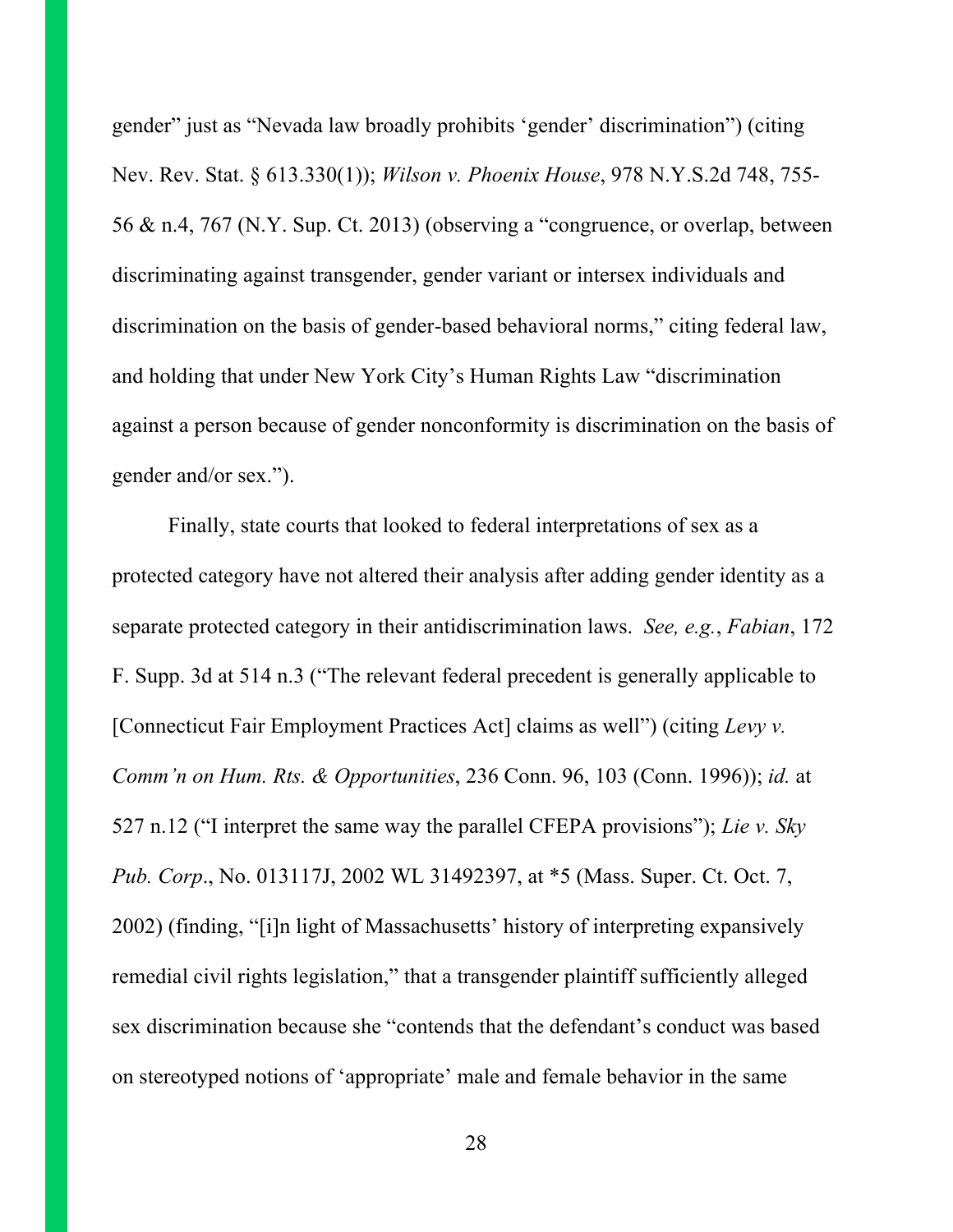gender" just as "Nevada law broadly prohibits 'gender' discrimination") (citing Nev. Rev. Stat. § 613.330(1)); *Wilson v. Phoenix House*, 978 N.Y.S.2d 748, 755- 56 & n.4, 767 (N.Y. Sup. Ct. 2013) (observing a "congruence, or overlap, between discriminating against transgender, gender variant or intersex individuals and discrimination on the basis of gender-based behavioral norms," citing federal law, and holding that under New York City's Human Rights Law "discrimination against a person because of gender nonconformity is discrimination on the basis of gender and/or sex.").

Finally, state courts that looked to federal interpretations of sex as a protected category have not altered their analysis after adding gender identity as a separate protected category in their antidiscrimination laws. *See, e.g.*, *Fabian*, 172 F. Supp. 3d at 514 n.3 ("The relevant federal precedent is generally applicable to [Connecticut Fair Employment Practices Act] claims as well") (citing *Levy v. Comm'n on Hum. Rts. & Opportunities*, 236 Conn. 96, 103 (Conn. 1996)); *id.* at 527 n.12 ("I interpret the same way the parallel CFEPA provisions"); *Lie v. Sky Pub. Corp*., No. 013117J, 2002 WL 31492397, at \*5 (Mass. Super. Ct. Oct. 7, 2002) (finding, "[i]n light of Massachusetts' history of interpreting expansively remedial civil rights legislation," that a transgender plaintiff sufficiently alleged sex discrimination because she "contends that the defendant's conduct was based on stereotyped notions of 'appropriate' male and female behavior in the same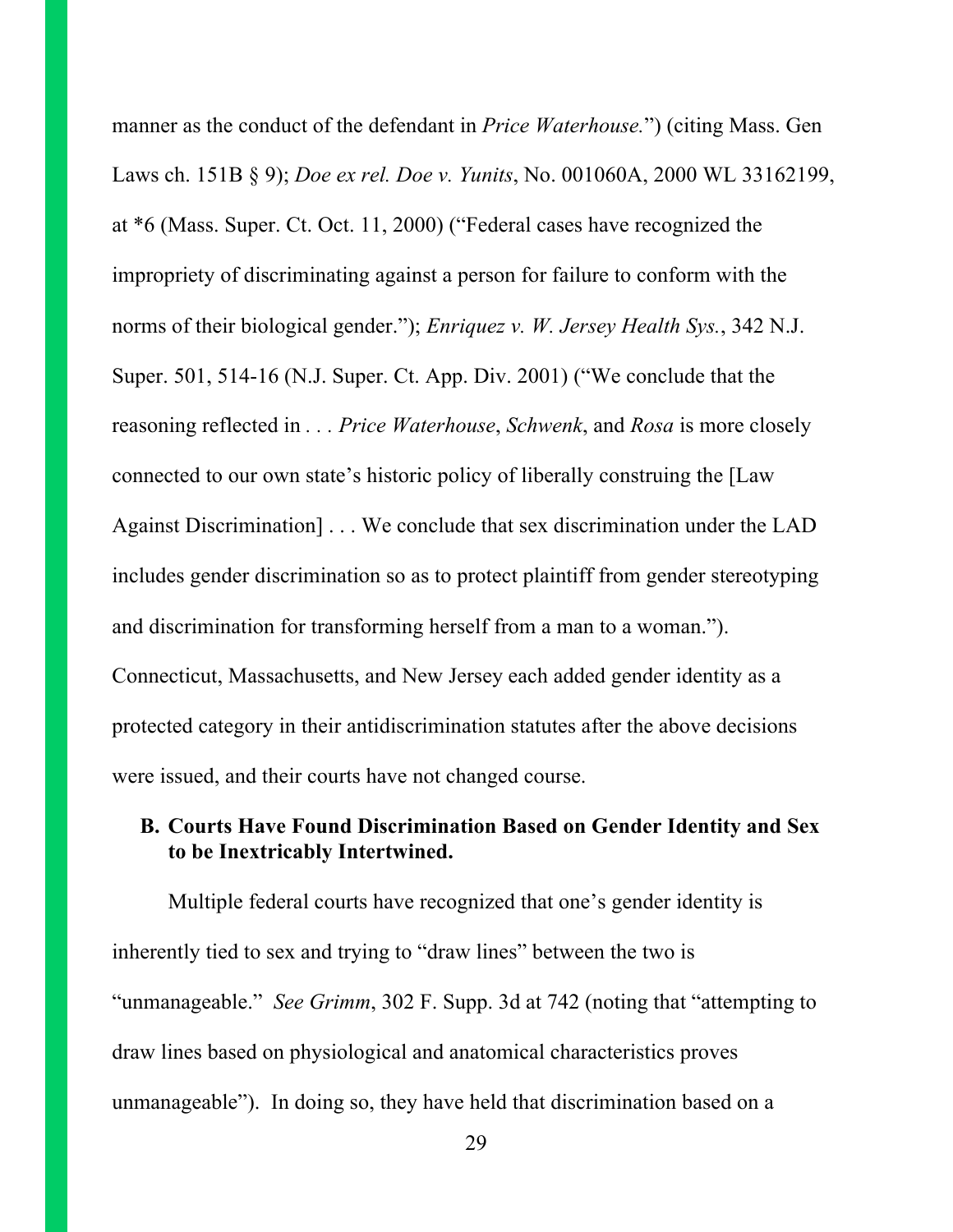manner as the conduct of the defendant in *Price Waterhouse.*") (citing Mass. Gen Laws ch. 151B § 9); *Doe ex rel. Doe v. Yunits*, No. 001060A, 2000 WL 33162199, at \*6 (Mass. Super. Ct. Oct. 11, 2000) ("Federal cases have recognized the impropriety of discriminating against a person for failure to conform with the norms of their biological gender."); *Enriquez v. W. Jersey Health Sys.*, 342 N.J. Super. 501, 514-16 (N.J. Super. Ct. App. Div. 2001) ("We conclude that the reasoning reflected in *. . . Price Waterhouse*, *Schwenk*, and *Rosa* is more closely connected to our own state's historic policy of liberally construing the [Law Against Discrimination] . . . We conclude that sex discrimination under the LAD includes gender discrimination so as to protect plaintiff from gender stereotyping and discrimination for transforming herself from a man to a woman."). Connecticut, Massachusetts, and New Jersey each added gender identity as a protected category in their antidiscrimination statutes after the above decisions were issued, and their courts have not changed course.

#### **B. Courts Have Found Discrimination Based on Gender Identity and Sex to be Inextricably Intertwined.**

Multiple federal courts have recognized that one's gender identity is inherently tied to sex and trying to "draw lines" between the two is "unmanageable." *See Grimm*, 302 F. Supp. 3d at 742 (noting that "attempting to draw lines based on physiological and anatomical characteristics proves unmanageable"). In doing so, they have held that discrimination based on a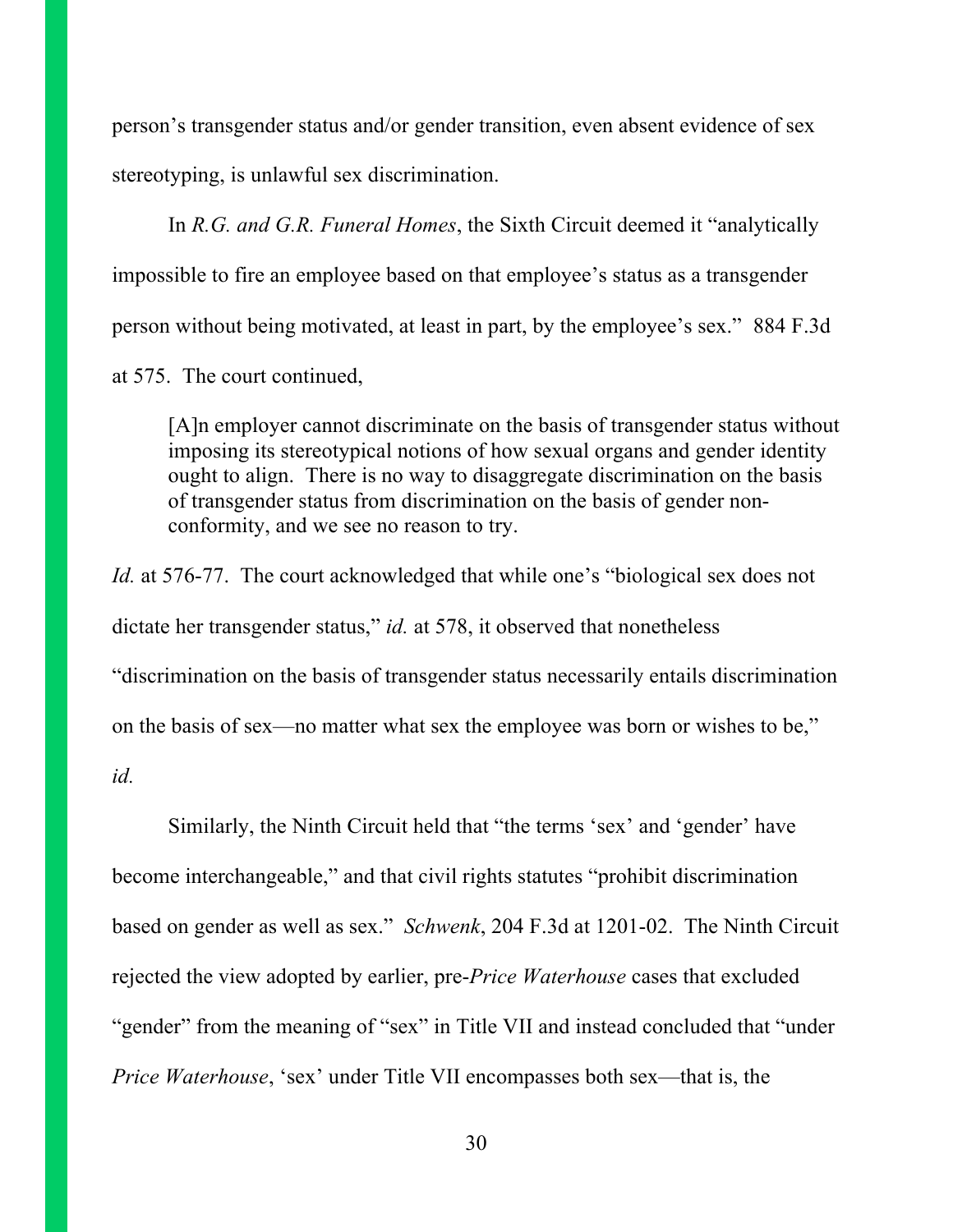person's transgender status and/or gender transition, even absent evidence of sex stereotyping, is unlawful sex discrimination.

In *R.G. and G.R. Funeral Homes*, the Sixth Circuit deemed it "analytically impossible to fire an employee based on that employee's status as a transgender person without being motivated, at least in part, by the employee's sex." 884 F.3d at 575. The court continued,

[A]n employer cannot discriminate on the basis of transgender status without imposing its stereotypical notions of how sexual organs and gender identity ought to align. There is no way to disaggregate discrimination on the basis of transgender status from discrimination on the basis of gender nonconformity, and we see no reason to try.

*Id.* at 576-77. The court acknowledged that while one's "biological sex does not dictate her transgender status," *id.* at 578, it observed that nonetheless "discrimination on the basis of transgender status necessarily entails discrimination on the basis of sex—no matter what sex the employee was born or wishes to be," *id.*

Similarly, the Ninth Circuit held that "the terms 'sex' and 'gender' have become interchangeable," and that civil rights statutes "prohibit discrimination based on gender as well as sex." *Schwenk*, 204 F.3d at 1201-02. The Ninth Circuit rejected the view adopted by earlier, pre-*Price Waterhouse* cases that excluded "gender" from the meaning of "sex" in Title VII and instead concluded that "under *Price Waterhouse*, 'sex' under Title VII encompasses both sex—that is, the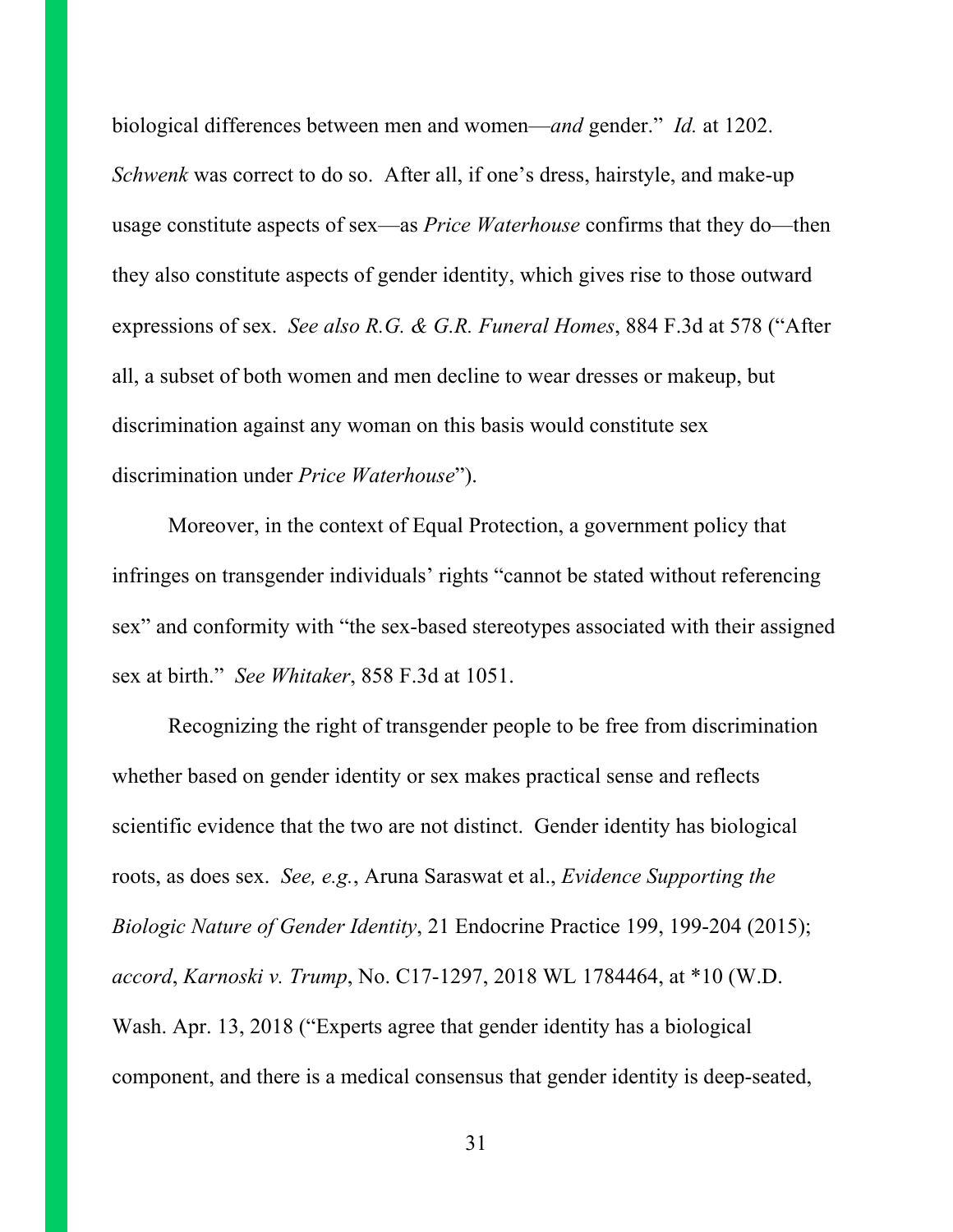biological differences between men and women—*and* gender." *Id.* at 1202. *Schwenk* was correct to do so. After all, if one's dress, hairstyle, and make-up usage constitute aspects of sex—as *Price Waterhouse* confirms that they do—then they also constitute aspects of gender identity, which gives rise to those outward expressions of sex. *See also R.G. & G.R. Funeral Homes*, 884 F.3d at 578 ("After all, a subset of both women and men decline to wear dresses or makeup, but discrimination against any woman on this basis would constitute sex discrimination under *Price Waterhouse*").

Moreover, in the context of Equal Protection, a government policy that infringes on transgender individuals' rights "cannot be stated without referencing sex" and conformity with "the sex-based stereotypes associated with their assigned sex at birth." *See Whitaker*, 858 F.3d at 1051.

Recognizing the right of transgender people to be free from discrimination whether based on gender identity or sex makes practical sense and reflects scientific evidence that the two are not distinct. Gender identity has biological roots, as does sex. *See, e.g.*, Aruna Saraswat et al., *Evidence Supporting the Biologic Nature of Gender Identity*, 21 Endocrine Practice 199, 199-204 (2015); *accord*, *Karnoski v. Trump*, No. C17-1297, 2018 WL 1784464, at \*10 (W.D. Wash. Apr. 13, 2018 ("Experts agree that gender identity has a biological component, and there is a medical consensus that gender identity is deep-seated,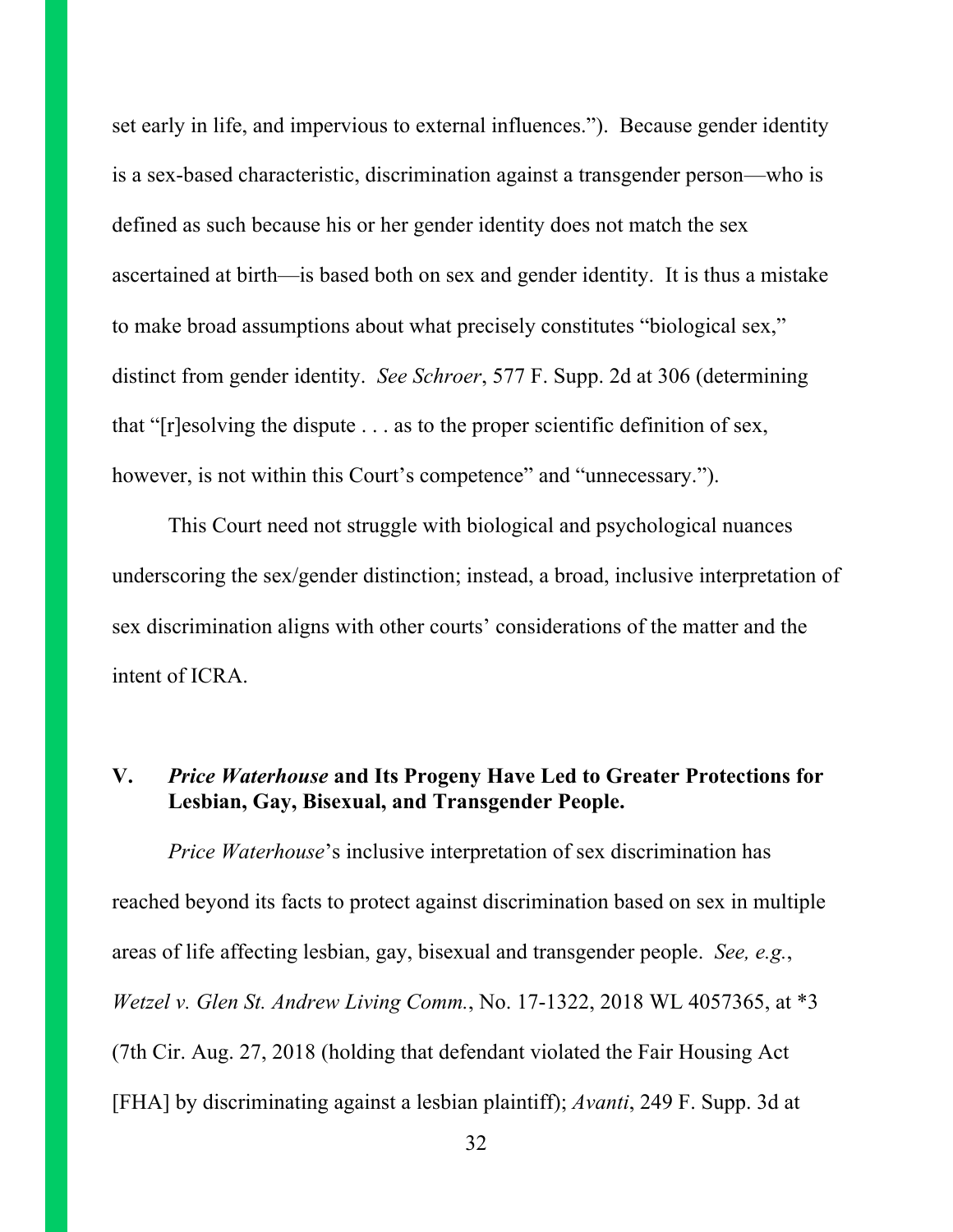set early in life, and impervious to external influences."). Because gender identity is a sex-based characteristic, discrimination against a transgender person—who is defined as such because his or her gender identity does not match the sex ascertained at birth—is based both on sex and gender identity. It is thus a mistake to make broad assumptions about what precisely constitutes "biological sex," distinct from gender identity. *See Schroer*, 577 F. Supp. 2d at 306 (determining that "[r]esolving the dispute . . . as to the proper scientific definition of sex, however, is not within this Court's competence" and "unnecessary.").

This Court need not struggle with biological and psychological nuances underscoring the sex/gender distinction; instead, a broad, inclusive interpretation of sex discrimination aligns with other courts' considerations of the matter and the intent of ICRA.

### **V.** *Price Waterhouse* **and Its Progeny Have Led to Greater Protections for Lesbian, Gay, Bisexual, and Transgender People.**

*Price Waterhouse*'s inclusive interpretation of sex discrimination has reached beyond its facts to protect against discrimination based on sex in multiple areas of life affecting lesbian, gay, bisexual and transgender people. *See, e.g.*, *Wetzel v. Glen St. Andrew Living Comm.*, No. 17-1322, 2018 WL 4057365, at \*3 (7th Cir. Aug. 27, 2018 (holding that defendant violated the Fair Housing Act [FHA] by discriminating against a lesbian plaintiff); *Avanti*, 249 F. Supp. 3d at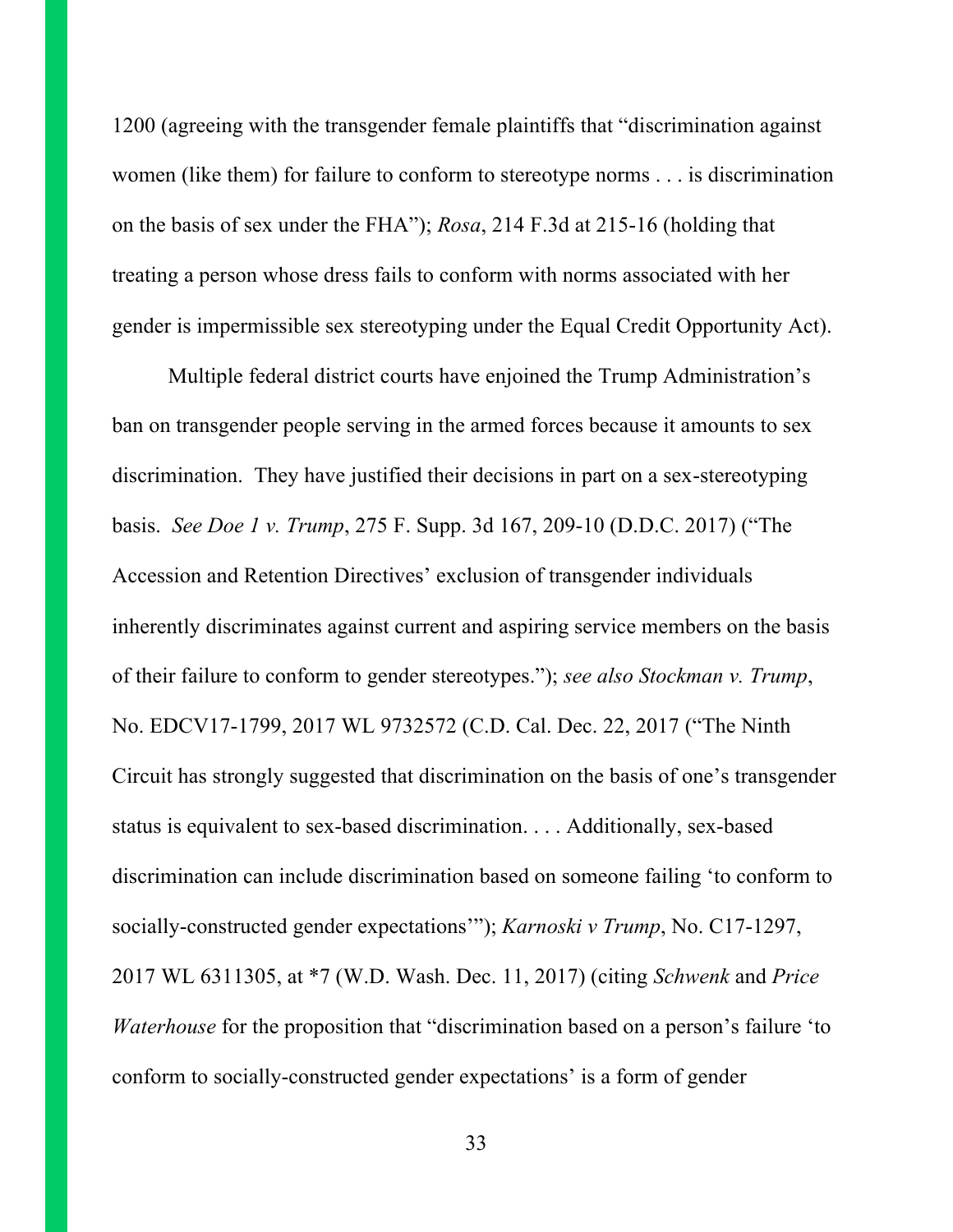1200 (agreeing with the transgender female plaintiffs that "discrimination against women (like them) for failure to conform to stereotype norms . . . is discrimination on the basis of sex under the FHA"); *Rosa*, 214 F.3d at 215-16 (holding that treating a person whose dress fails to conform with norms associated with her gender is impermissible sex stereotyping under the Equal Credit Opportunity Act).

Multiple federal district courts have enjoined the Trump Administration's ban on transgender people serving in the armed forces because it amounts to sex discrimination. They have justified their decisions in part on a sex-stereotyping basis. *See Doe 1 v. Trump*, 275 F. Supp. 3d 167, 209-10 (D.D.C. 2017) ("The Accession and Retention Directives' exclusion of transgender individuals inherently discriminates against current and aspiring service members on the basis of their failure to conform to gender stereotypes."); *see also Stockman v. Trump*, No. EDCV17-1799, 2017 WL 9732572 (C.D. Cal. Dec. 22, 2017 ("The Ninth Circuit has strongly suggested that discrimination on the basis of one's transgender status is equivalent to sex-based discrimination. . . . Additionally, sex-based discrimination can include discrimination based on someone failing 'to conform to socially-constructed gender expectations'"); *Karnoski v Trump*, No. C17-1297, 2017 WL 6311305, at \*7 (W.D. Wash. Dec. 11, 2017) (citing *Schwenk* and *Price Waterhouse* for the proposition that "discrimination based on a person's failure 'to conform to socially-constructed gender expectations' is a form of gender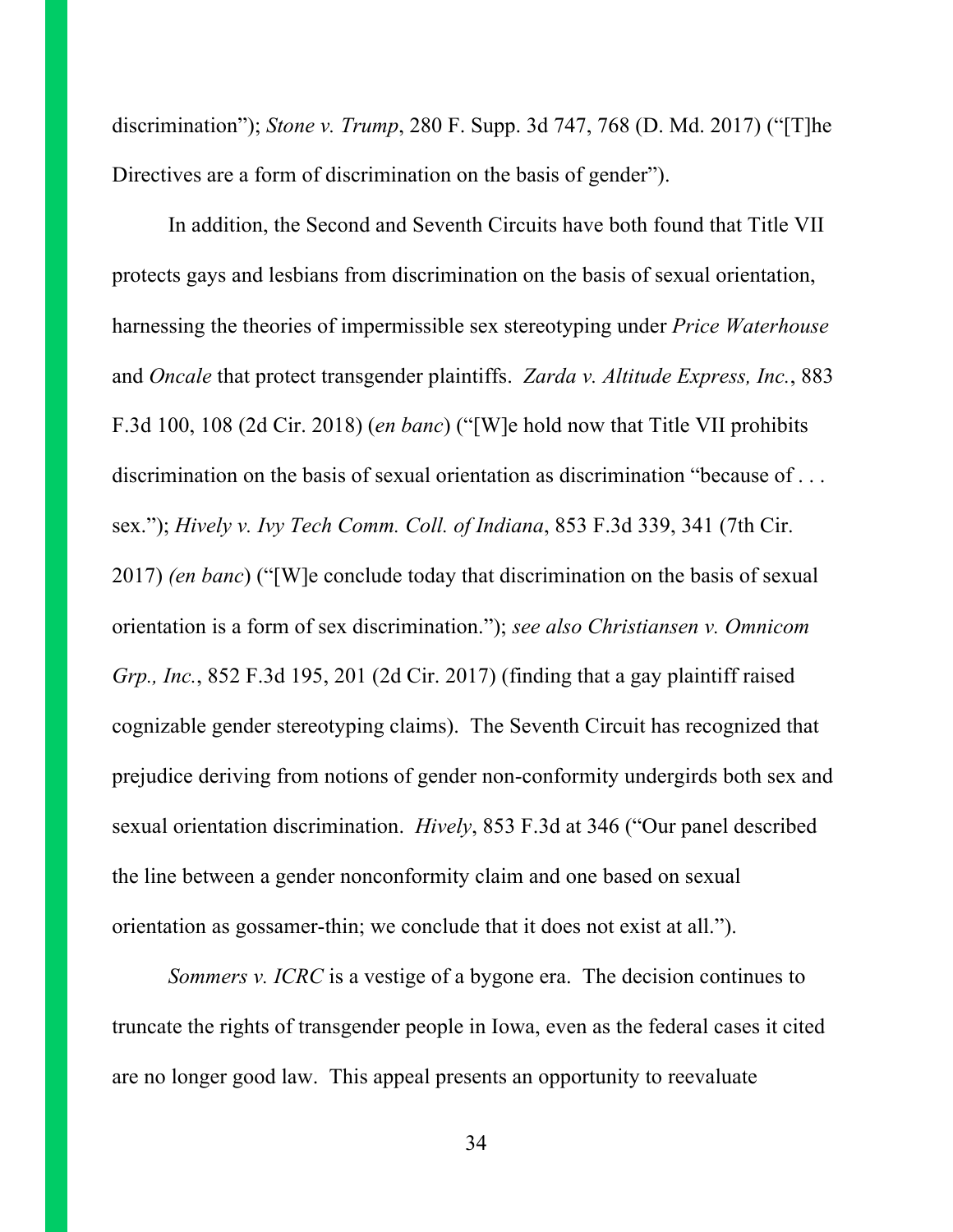discrimination"); *Stone v. Trump*, 280 F. Supp. 3d 747, 768 (D. Md. 2017) ("[T]he Directives are a form of discrimination on the basis of gender").

In addition, the Second and Seventh Circuits have both found that Title VII protects gays and lesbians from discrimination on the basis of sexual orientation, harnessing the theories of impermissible sex stereotyping under *Price Waterhouse*  and *Oncale* that protect transgender plaintiffs. *Zarda v. Altitude Express, Inc.*, 883 F.3d 100, 108 (2d Cir. 2018) (*en banc*) ("[W]e hold now that Title VII prohibits discrimination on the basis of sexual orientation as discrimination "because of . . . sex."); *Hively v. Ivy Tech Comm. Coll. of Indiana*, 853 F.3d 339, 341 (7th Cir. 2017) *(en banc*) ("[W]e conclude today that discrimination on the basis of sexual orientation is a form of sex discrimination."); *see also Christiansen v. Omnicom Grp., Inc.*, 852 F.3d 195, 201 (2d Cir. 2017) (finding that a gay plaintiff raised cognizable gender stereotyping claims). The Seventh Circuit has recognized that prejudice deriving from notions of gender non-conformity undergirds both sex and sexual orientation discrimination. *Hively*, 853 F.3d at 346 ("Our panel described the line between a gender nonconformity claim and one based on sexual orientation as gossamer-thin; we conclude that it does not exist at all.").

*Sommers v. ICRC* is a vestige of a bygone era. The decision continues to truncate the rights of transgender people in Iowa, even as the federal cases it cited are no longer good law. This appeal presents an opportunity to reevaluate